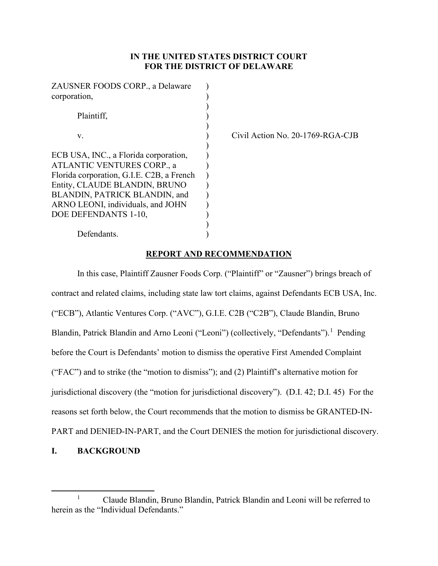# **IN THE UNITED STATES DISTRICT COURT FOR THE DISTRICT OF DELAWARE**

| ZAUSNER FOODS CORP., a Delaware           |  |
|-------------------------------------------|--|
| corporation,                              |  |
|                                           |  |
| Plaintiff,                                |  |
|                                           |  |
| V.                                        |  |
|                                           |  |
| ECB USA, INC., a Florida corporation,     |  |
| ATLANTIC VENTURES CORP., a                |  |
| Florida corporation, G.I.E. C2B, a French |  |
| Entity, CLAUDE BLANDIN, BRUNO             |  |
| BLANDIN, PATRICK BLANDIN, and             |  |
| ARNO LEONI, individuals, and JOHN         |  |
| DOE DEFENDANTS 1-10,                      |  |
|                                           |  |
| Defendants.                               |  |

Civil Action No. 20-1769-RGA-CJB

# **REPORT AND RECOMMENDATION**

In this case, Plaintiff Zausner Foods Corp. ("Plaintiff" or "Zausner") brings breach of contract and related claims, including state law tort claims, against Defendants ECB USA, Inc. ("ECB"), Atlantic Ventures Corp. ("AVC"), G.I.E. C2B ("C2B"), Claude Blandin, Bruno Blandin, Patrick Blandin and Arno Leoni ("Leoni") (collectively, "Defendants").<sup>[1](#page-0-0)</sup> Pending before the Court is Defendants' motion to dismiss the operative First Amended Complaint ("FAC") and to strike (the "motion to dismiss"); and (2) Plaintiff's alternative motion for jurisdictional discovery (the "motion for jurisdictional discovery"). (D.I. 42; D.I. 45) For the reasons set forth below, the Court recommends that the motion to dismiss be GRANTED-IN-PART and DENIED-IN-PART, and the Court DENIES the motion for jurisdictional discovery.

## **I. BACKGROUND**

<span id="page-0-0"></span><sup>&</sup>lt;sup>1</sup> Claude Blandin, Bruno Blandin, Patrick Blandin and Leoni will be referred to herein as the "Individual Defendants."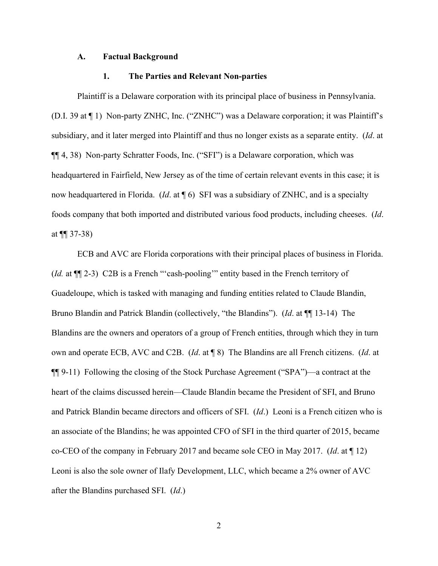## **A. Factual Background**

### **1. The Parties and Relevant Non-parties**

Plaintiff is a Delaware corporation with its principal place of business in Pennsylvania. (D.I. 39 at ¶ 1) Non-party ZNHC, Inc. ("ZNHC") was a Delaware corporation; it was Plaintiff's subsidiary, and it later merged into Plaintiff and thus no longer exists as a separate entity. (*Id*. at ¶¶ 4, 38) Non-party Schratter Foods, Inc. ("SFI") is a Delaware corporation, which was headquartered in Fairfield, New Jersey as of the time of certain relevant events in this case; it is now headquartered in Florida. (*Id*. at ¶ 6) SFI was a subsidiary of ZNHC, and is a specialty foods company that both imported and distributed various food products, including cheeses. (*Id*. at  $\P(37-38)$ 

ECB and AVC are Florida corporations with their principal places of business in Florida. (*Id.* at ¶¶ 2-3) C2B is a French "'cash-pooling'" entity based in the French territory of Guadeloupe, which is tasked with managing and funding entities related to Claude Blandin, Bruno Blandin and Patrick Blandin (collectively, "the Blandins"). (*Id*. at ¶¶ 13-14) The Blandins are the owners and operators of a group of French entities, through which they in turn own and operate ECB, AVC and C2B. (*Id*. at ¶ 8) The Blandins are all French citizens. (*Id*. at ¶¶ 9-11) Following the closing of the Stock Purchase Agreement ("SPA")—a contract at the heart of the claims discussed herein—Claude Blandin became the President of SFI, and Bruno and Patrick Blandin became directors and officers of SFI. (*Id*.) Leoni is a French citizen who is an associate of the Blandins; he was appointed CFO of SFI in the third quarter of 2015, became co-CEO of the company in February 2017 and became sole CEO in May 2017. (*Id*. at ¶ 12) Leoni is also the sole owner of Ilafy Development, LLC, which became a 2% owner of AVC after the Blandins purchased SFI. (*Id*.)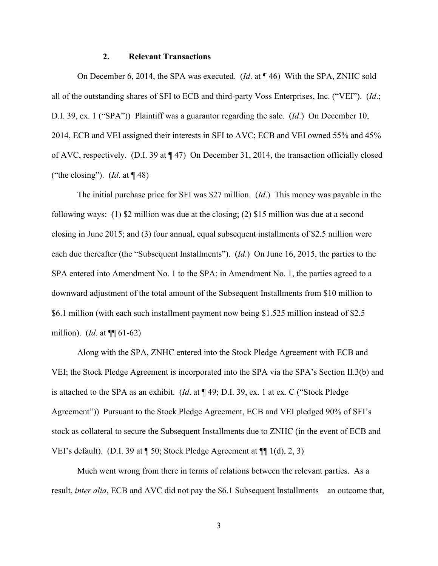### **2. Relevant Transactions**

On December 6, 2014, the SPA was executed. (*Id*. at ¶ 46) With the SPA, ZNHC sold all of the outstanding shares of SFI to ECB and third-party Voss Enterprises, Inc. ("VEI"). (*Id*.; D.I. 39, ex. 1 ("SPA")) Plaintiff was a guarantor regarding the sale. (*Id*.) On December 10, 2014, ECB and VEI assigned their interests in SFI to AVC; ECB and VEI owned 55% and 45% of AVC, respectively. (D.I. 39 at  $\P$  47) On December 31, 2014, the transaction officially closed ("the closing"). (*Id*. at ¶ 48)

The initial purchase price for SFI was \$27 million. (*Id*.) This money was payable in the following ways: (1) \$2 million was due at the closing; (2) \$15 million was due at a second closing in June 2015; and (3) four annual, equal subsequent installments of \$2.5 million were each due thereafter (the "Subsequent Installments"). (*Id*.) On June 16, 2015, the parties to the SPA entered into Amendment No. 1 to the SPA; in Amendment No. 1, the parties agreed to a downward adjustment of the total amount of the Subsequent Installments from \$10 million to \$6.1 million (with each such installment payment now being \$1.525 million instead of \$2.5 million). (*Id*. at ¶¶ 61-62)

Along with the SPA, ZNHC entered into the Stock Pledge Agreement with ECB and VEI; the Stock Pledge Agreement is incorporated into the SPA via the SPA's Section II.3(b) and is attached to the SPA as an exhibit. (*Id*. at ¶ 49; D.I. 39, ex. 1 at ex. C ("Stock Pledge Agreement")) Pursuant to the Stock Pledge Agreement, ECB and VEI pledged 90% of SFI's stock as collateral to secure the Subsequent Installments due to ZNHC (in the event of ECB and VEI's default). (D.I. 39 at ¶ 50; Stock Pledge Agreement at ¶¶ 1(d), 2, 3)

Much went wrong from there in terms of relations between the relevant parties. As a result, *inter alia*, ECB and AVC did not pay the \$6.1 Subsequent Installments—an outcome that,

3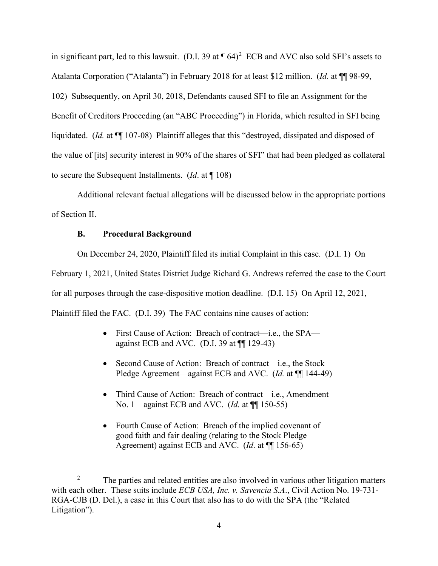in significant part, led to this lawsuit. (D.I. 39 at  $\P(64)^2$  $\P(64)^2$  ECB and AVC also sold SFI's assets to Atalanta Corporation ("Atalanta") in February 2018 for at least \$12 million. (*Id.* at ¶¶ 98-99, 102) Subsequently, on April 30, 2018, Defendants caused SFI to file an Assignment for the Benefit of Creditors Proceeding (an "ABC Proceeding") in Florida, which resulted in SFI being liquidated. (*Id.* at ¶¶ 107-08) Plaintiff alleges that this "destroyed, dissipated and disposed of the value of [its] security interest in 90% of the shares of SFI" that had been pledged as collateral to secure the Subsequent Installments. (*Id*. at ¶ 108)

Additional relevant factual allegations will be discussed below in the appropriate portions of Section II.

# **B. Procedural Background**

On December 24, 2020, Plaintiff filed its initial Complaint in this case. (D.I. 1) On

February 1, 2021, United States District Judge Richard G. Andrews referred the case to the Court

for all purposes through the case-dispositive motion deadline. (D.I. 15) On April 12, 2021,

Plaintiff filed the FAC. (D.I. 39) The FAC contains nine causes of action:

- First Cause of Action: Breach of contract—i.e., the SPA against ECB and AVC. (D.I. 39 at  $\P$ [129-43)
- Second Cause of Action: Breach of contract—i.e., the Stock Pledge Agreement—against ECB and AVC. (*Id.* at  $\P$  144-49)
- Third Cause of Action: Breach of contract—i.e., Amendment No. 1—against ECB and AVC. (*Id.* at ¶¶ 150-55)
- Fourth Cause of Action: Breach of the implied covenant of good faith and fair dealing (relating to the Stock Pledge Agreement) against ECB and AVC. (*Id*. at ¶¶ 156-65)

<span id="page-3-0"></span><sup>2</sup> The parties and related entities are also involved in various other litigation matters with each other. These suits include *ECB USA, Inc. v. Savencia S.A*., Civil Action No. 19-731- RGA-CJB (D. Del.), a case in this Court that also has to do with the SPA (the "Related Litigation").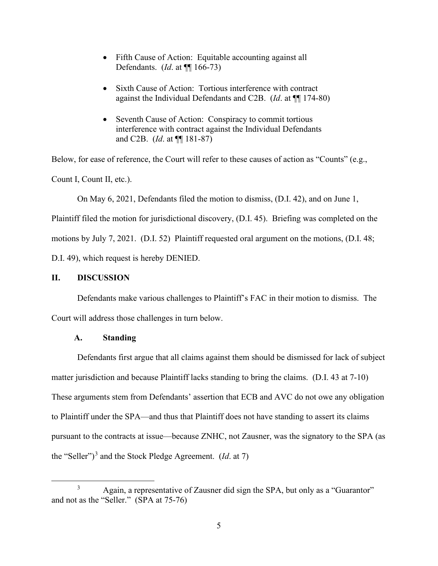- Fifth Cause of Action: Equitable accounting against all Defendants. (*Id*. at ¶¶ 166-73)
- Sixth Cause of Action: Tortious interference with contract against the Individual Defendants and C2B. (*Id*. at ¶¶ 174-80)
- Seventh Cause of Action: Conspiracy to commit tortious interference with contract against the Individual Defendants and C2B. (*Id*. at ¶¶ 181-87)

Below, for ease of reference, the Court will refer to these causes of action as "Counts" (e.g., Count I, Count II, etc.).

On May 6, 2021, Defendants filed the motion to dismiss, (D.I. 42), and on June 1,

Plaintiff filed the motion for jurisdictional discovery, (D.I. 45). Briefing was completed on the motions by July 7, 2021. (D.I. 52) Plaintiff requested oral argument on the motions, (D.I. 48; D.I. 49), which request is hereby DENIED.

# **II. DISCUSSION**

Defendants make various challenges to Plaintiff's FAC in their motion to dismiss. The Court will address those challenges in turn below.

# **A. Standing**

Defendants first argue that all claims against them should be dismissed for lack of subject matter jurisdiction and because Plaintiff lacks standing to bring the claims. (D.I. 43 at 7-10) These arguments stem from Defendants' assertion that ECB and AVC do not owe any obligation to Plaintiff under the SPA—and thus that Plaintiff does not have standing to assert its claims pursuant to the contracts at issue—because ZNHC, not Zausner, was the signatory to the SPA (as the "Seller")<sup>[3](#page-4-0)</sup> and the Stock Pledge Agreement. (*Id.* at 7)

<span id="page-4-0"></span><sup>3</sup> Again, a representative of Zausner did sign the SPA, but only as a "Guarantor" and not as the "Seller." (SPA at 75-76)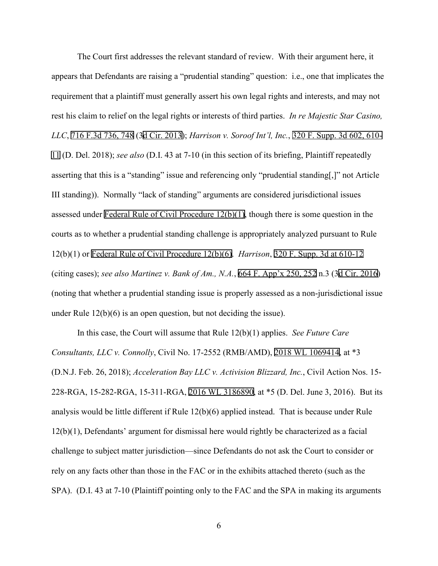The Court first addresses the relevant standard of review. With their argument here, it appears that Defendants are raising a "prudential standing" question: i.e., one that implicates the requirement that a plaintiff must generally assert his own legal rights and interests, and may not rest his claim to relief on the legal rights or interests of third parties. *In re Majestic Star Casino, LLC*, [716 F.3d 736, 748](http://scholar.google.com/scholar?q=716+f.3d+736&btnG=&hl=en&as_sdt=6) ([3d Cir. 2013](http://www.google.com/search?q=utah+rules+of+civil+procedure,+rule++2013)); *Harrison v. Soroof Int'l, Inc.*, [320 F. Supp. 3d 602, 610-](http://scholar.google.com/scholar?q=320+f.+supp.+3d+602&btnG=&hl=en&as_sdt=6) [11](http://scholar.google.com/scholar?q=320+f.+supp.+3d+602&btnG=&hl=en&as_sdt=6) (D. Del. 2018); *see also* (D.I. 43 at 7-10 (in this section of its briefing, Plaintiff repeatedly asserting that this is a "standing" issue and referencing only "prudential standing[,]" not Article III standing)). Normally "lack of standing" arguments are considered jurisdictional issues assessed under [Federal Rule of Civil Procedure 12\(b\)\(1\)](http://www.google.com/search?q=FRCP+12(b)(1)), though there is some question in the courts as to whether a prudential standing challenge is appropriately analyzed pursuant to Rule 12(b)(1) or [Federal Rule of Civil Procedure 12\(b\)\(6\)](http://www.google.com/search?q=FRCP+12(b)(6)). *Harrison*, [320 F. Supp. 3d at 610-12](http://scholar.google.com/scholar?q=320+f.+supp.+3d+602&btnG=&hl=en&as_sdt=6) (citing cases); *see also Martinez v. Bank of Am., N.A.*, [664 F. App'x 250, 252](http://scholar.google.com/scholar?q=664+f.+app���x+250&btnG=&hl=en&as_sdt=6) n.3 (3[d Cir. 2016\)](http://www.google.com/search?q=utah+rules+of+civil+procedure,+rule++2016) (noting that whether a prudential standing issue is properly assessed as a non-jurisdictional issue under Rule 12(b)(6) is an open question, but not deciding the issue).

In this case, the Court will assume that Rule 12(b)(1) applies. *See Future Care Consultants, LLC v. Connolly*, Civil No. 17-2552 (RMB/AMD), [2018 WL 1069414](https://www.westlaw.com/Link/Document/FullText?rs=USCLink&vr=3.0&findType=Y&cite=2018%2Bwl%2B1069414&refPos=1069414&refPosType=s&clientid=USCourts), at \*3 (D.N.J. Feb. 26, 2018); *Acceleration Bay LLC v. Activision Blizzard, Inc.*, Civil Action Nos. 15- 228-RGA, 15-282-RGA, 15-311-RGA, [2016 WL 3186890,](https://www.westlaw.com/Link/Document/FullText?rs=USCLink&vr=3.0&findType=Y&cite=2016%2Bwl%2B3186890&refPos=3186890&refPosType=s&clientid=USCourts) at \*5 (D. Del. June 3, 2016). But its analysis would be little different if Rule 12(b)(6) applied instead. That is because under Rule 12(b)(1), Defendants' argument for dismissal here would rightly be characterized as a facial challenge to subject matter jurisdiction—since Defendants do not ask the Court to consider or rely on any facts other than those in the FAC or in the exhibits attached thereto (such as the SPA). (D.I. 43 at 7-10 (Plaintiff pointing only to the FAC and the SPA in making its arguments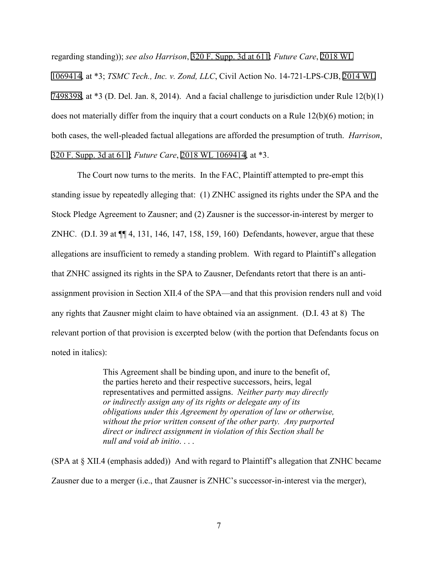regarding standing)); *see also Harrison*, [320 F. Supp. 3d at 611](http://scholar.google.com/scholar?q=320+f.+supp.+3d+602&btnG=&hl=en&as_sdt=6); *Future Care*, [2018 WL](https://www.westlaw.com/Link/Document/FullText?rs=USCLink&vr=3.0&findType=Y&cite=2018%2Bwl1069414&refPos=1069414&refPosType=s&clientid=USCourts)  [1069414](https://www.westlaw.com/Link/Document/FullText?rs=USCLink&vr=3.0&findType=Y&cite=2018%2Bwl1069414&refPos=1069414&refPosType=s&clientid=USCourts), at \*3; *TSMC Tech., Inc. v. Zond, LLC*, Civil Action No. 14-721-LPS-CJB, [2014 WL](https://www.westlaw.com/Link/Document/FullText?rs=USCLink&vr=3.0&findType=Y&cite=2014%2Bwl%2B%2B7498398&refPos=7498398&refPosType=s&clientid=USCourts) [7498398](https://www.westlaw.com/Link/Document/FullText?rs=USCLink&vr=3.0&findType=Y&cite=2014%2Bwl%2B%2B7498398&refPos=7498398&refPosType=s&clientid=USCourts), at \*3 (D. Del. Jan. 8, 2014). And a facial challenge to jurisdiction under Rule 12(b)(1) does not materially differ from the inquiry that a court conducts on a Rule 12(b)(6) motion; in both cases, the well-pleaded factual allegations are afforded the presumption of truth. *Harrison*, [320 F. Supp. 3d at 611;](http://scholar.google.com/scholar?q=320+f.+supp.+3d+602&btnG=&hl=en&as_sdt=6) *Future Care*, [2018 WL 1069414,](https://www.westlaw.com/Link/Document/FullText?rs=USCLink&vr=3.0&findType=Y&cite=2018%2Bwl%2B1069414&refPos=1069414&refPosType=s&clientid=USCourts) at \*3.

The Court now turns to the merits. In the FAC, Plaintiff attempted to pre-empt this standing issue by repeatedly alleging that: (1) ZNHC assigned its rights under the SPA and the Stock Pledge Agreement to Zausner; and (2) Zausner is the successor-in-interest by merger to ZNHC. (D.I. 39 at ¶¶ 4, 131, 146, 147, 158, 159, 160) Defendants, however, argue that these allegations are insufficient to remedy a standing problem. With regard to Plaintiff's allegation that ZNHC assigned its rights in the SPA to Zausner, Defendants retort that there is an antiassignment provision in Section XII.4 of the SPA—and that this provision renders null and void any rights that Zausner might claim to have obtained via an assignment. (D.I. 43 at 8) The relevant portion of that provision is excerpted below (with the portion that Defendants focus on noted in italics):

> This Agreement shall be binding upon, and inure to the benefit of, the parties hereto and their respective successors, heirs, legal representatives and permitted assigns. *Neither party may directly or indirectly assign any of its rights or delegate any of its obligations under this Agreement by operation of law or otherwise, without the prior written consent of the other party. Any purported direct or indirect assignment in violation of this Section shall be null and void ab initio*. . . .

(SPA at § XII.4 (emphasis added)) And with regard to Plaintiff's allegation that ZNHC became Zausner due to a merger (i.e., that Zausner is ZNHC's successor-in-interest via the merger),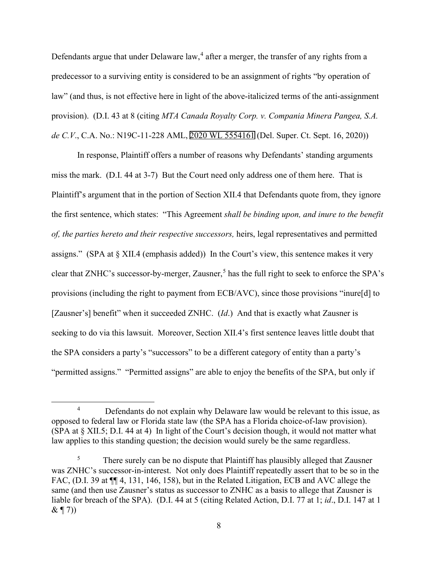Defendants argue that under Delaware law,<sup>[4](#page-7-0)</sup> after a merger, the transfer of any rights from a predecessor to a surviving entity is considered to be an assignment of rights "by operation of law" (and thus, is not effective here in light of the above-italicized terms of the anti-assignment provision). (D.I. 43 at 8 (citing *MTA Canada Royalty Corp. v. Compania Minera Pangea, S.A. de C.V*., C.A. No.: N19C-11-228 AML, [2020 WL 5554161](https://www.westlaw.com/Link/Document/FullText?rs=USCLink&vr=3.0&findType=Y&cite=2020%2Bwl%2B5554161&refPos=5554161&refPosType=s&clientid=USCourts) (Del. Super. Ct. Sept. 16, 2020))

In response, Plaintiff offers a number of reasons why Defendants' standing arguments miss the mark. (D.I. 44 at 3-7) But the Court need only address one of them here. That is Plaintiff's argument that in the portion of Section XII.4 that Defendants quote from, they ignore the first sentence, which states: "This Agreement *shall be binding upon, and inure to the benefit of, the parties hereto and their respective successors,* heirs, legal representatives and permitted assigns." (SPA at § XII.4 (emphasis added)) In the Court's view, this sentence makes it very clear that ZNHC's successor-by-merger, Zausner,<sup>[5](#page-7-1)</sup> has the full right to seek to enforce the SPA's provisions (including the right to payment from ECB/AVC), since those provisions "inure[d] to [Zausner's] benefit" when it succeeded ZNHC. (*Id*.) And that is exactly what Zausner is seeking to do via this lawsuit. Moreover, Section XII.4's first sentence leaves little doubt that the SPA considers a party's "successors" to be a different category of entity than a party's "permitted assigns." "Permitted assigns" are able to enjoy the benefits of the SPA, but only if

<span id="page-7-0"></span><sup>&</sup>lt;sup>4</sup> Defendants do not explain why Delaware law would be relevant to this issue, as opposed to federal law or Florida state law (the SPA has a Florida choice-of-law provision). (SPA at § XII.5; D.I. 44 at 4) In light of the Court's decision though, it would not matter what law applies to this standing question; the decision would surely be the same regardless.

<span id="page-7-1"></span> $5$  There surely can be no dispute that Plaintiff has plausibly alleged that Zausner was ZNHC's successor-in-interest. Not only does Plaintiff repeatedly assert that to be so in the FAC, (D.I. 39 at  $\P$ [4, 131, 146, 158), but in the Related Litigation, ECB and AVC allege the same (and then use Zausner's status as successor to ZNHC as a basis to allege that Zausner is liable for breach of the SPA). (D.I. 44 at 5 (citing Related Action, D.I. 77 at 1; *id*., D.I. 147 at 1  $\& \P(7)$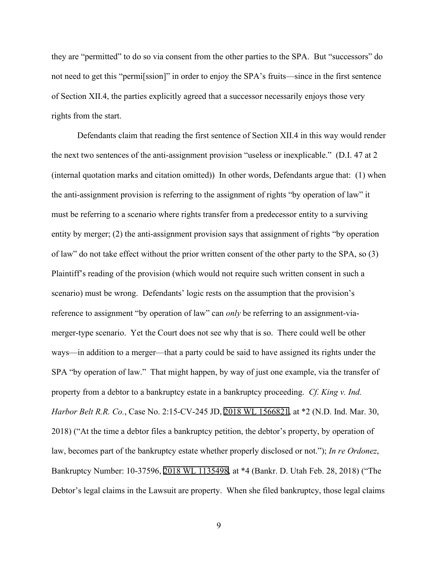they are "permitted" to do so via consent from the other parties to the SPA. But "successors" do not need to get this "permi[ssion]" in order to enjoy the SPA's fruits—since in the first sentence of Section XII.4, the parties explicitly agreed that a successor necessarily enjoys those very rights from the start.

Defendants claim that reading the first sentence of Section XII.4 in this way would render the next two sentences of the anti-assignment provision "useless or inexplicable." (D.I. 47 at 2 (internal quotation marks and citation omitted)) In other words, Defendants argue that: (1) when the anti-assignment provision is referring to the assignment of rights "by operation of law" it must be referring to a scenario where rights transfer from a predecessor entity to a surviving entity by merger; (2) the anti-assignment provision says that assignment of rights "by operation of law" do not take effect without the prior written consent of the other party to the SPA, so (3) Plaintiff's reading of the provision (which would not require such written consent in such a scenario) must be wrong. Defendants' logic rests on the assumption that the provision's reference to assignment "by operation of law" can *only* be referring to an assignment-viamerger-type scenario. Yet the Court does not see why that is so. There could well be other ways—in addition to a merger—that a party could be said to have assigned its rights under the SPA "by operation of law." That might happen, by way of just one example, via the transfer of property from a debtor to a bankruptcy estate in a bankruptcy proceeding. *Cf. King v. Ind. Harbor Belt R.R. Co.*, Case No. 2:15-CV-245 JD, [2018 WL 1566821,](https://www.westlaw.com/Link/Document/FullText?rs=USCLink&vr=3.0&findType=Y&cite=2018%2Bwl%2B1566821&refPos=1566821&refPosType=s&clientid=USCourts) at \*2 (N.D. Ind. Mar. 30, 2018) ("At the time a debtor files a bankruptcy petition, the debtor's property, by operation of law, becomes part of the bankruptcy estate whether properly disclosed or not."); *In re Ordonez*, Bankruptcy Number: 10-37596, [2018 WL 1135498](https://www.westlaw.com/Link/Document/FullText?rs=USCLink&vr=3.0&findType=Y&cite=2018%2Bwl%2B1135498&refPos=1135498&refPosType=s&clientid=USCourts), at \*4 (Bankr. D. Utah Feb. 28, 2018) ("The Debtor's legal claims in the Lawsuit are property. When she filed bankruptcy, those legal claims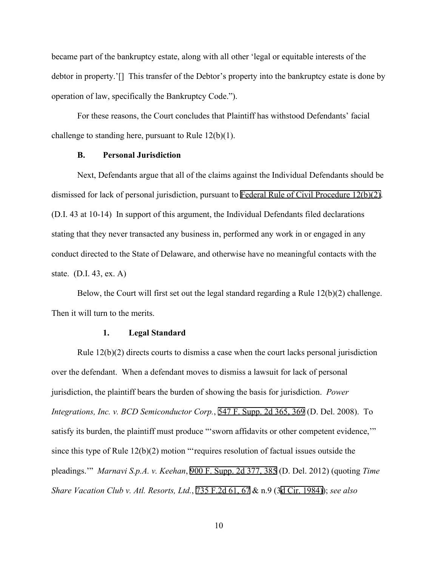became part of the bankruptcy estate, along with all other 'legal or equitable interests of the debtor in property.'[] This transfer of the Debtor's property into the bankruptcy estate is done by operation of law, specifically the Bankruptcy Code.").

For these reasons, the Court concludes that Plaintiff has withstood Defendants' facial challenge to standing here, pursuant to Rule 12(b)(1).

## **B. Personal Jurisdiction**

Next, Defendants argue that all of the claims against the Individual Defendants should be dismissed for lack of personal jurisdiction, pursuant to [Federal Rule of Civil Procedure 12\(b\)\(2\)](http://www.google.com/search?q=FRCP+12(b)(2)). (D.I. 43 at 10-14) In support of this argument, the Individual Defendants filed declarations stating that they never transacted any business in, performed any work in or engaged in any conduct directed to the State of Delaware, and otherwise have no meaningful contacts with the state. (D.I. 43, ex. A)

Below, the Court will first set out the legal standard regarding a Rule 12(b)(2) challenge. Then it will turn to the merits.

### **1. Legal Standard**

Rule  $12(b)(2)$  directs courts to dismiss a case when the court lacks personal jurisdiction over the defendant. When a defendant moves to dismiss a lawsuit for lack of personal jurisdiction, the plaintiff bears the burden of showing the basis for jurisdiction. *Power Integrations, Inc. v. BCD Semiconductor Corp.*, [547 F. Supp. 2d 365, 369](http://scholar.google.com/scholar?q=547+f.+supp.+2d+365&btnG=&hl=en&as_sdt=6) (D. Del. 2008). To satisfy its burden, the plaintiff must produce "'sworn affidavits or other competent evidence," since this type of Rule 12(b)(2) motion "'requires resolution of factual issues outside the pleadings.'" *Marnavi S.p.A. v. Keehan*, [900 F. Supp. 2d 377, 385](http://scholar.google.com/scholar?q=900+f.+supp.+2d+377&btnG=&hl=en&as_sdt=6) (D. Del. 2012) (quoting *Time Share Vacation Club v. Atl. Resorts, Ltd.*, [735 F.2d 61, 67](http://scholar.google.com/scholar?q=735+f.2d+61&btnG=&hl=en&as_sdt=6) & n.9 ([3d Cir. 1984\)](http://www.google.com/search?q=utah+rules+of+civil+procedure,+rule++1984))); *see also*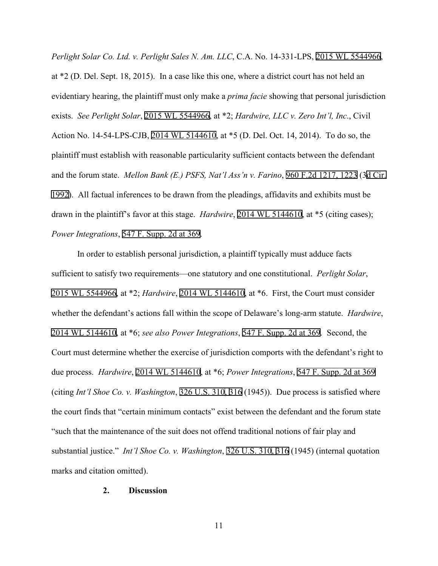*Perlight Solar Co. Ltd. v. Perlight Sales N. Am. LLC*, C.A. No. 14-331-LPS, [2015 WL 5544966](https://www.westlaw.com/Link/Document/FullText?rs=USCLink&vr=3.0&findType=Y&cite=2015%2Bwl%2B5544966&refPos=5544966&refPosType=s&clientid=USCourts), at \*2 (D. Del. Sept. 18, 2015). In a case like this one, where a district court has not held an evidentiary hearing, the plaintiff must only make a *prima facie* showing that personal jurisdiction exists. *See Perlight Solar*, [2015 WL 5544966,](https://www.westlaw.com/Link/Document/FullText?rs=USCLink&vr=3.0&findType=Y&cite=2015%2Bwl%2B5544966&refPos=5544966&refPosType=s&clientid=USCourts) at \*2; *Hardwire, LLC v. Zero Int'l, Inc*., Civil Action No. 14-54-LPS-CJB, [2014 WL 5144610](https://www.westlaw.com/Link/Document/FullText?rs=USCLink&vr=3.0&findType=Y&cite=2014%2Bwl%2B5144610&refPos=5144610&refPosType=s&clientid=USCourts), at \*5 (D. Del. Oct. 14, 2014). To do so, the plaintiff must establish with reasonable particularity sufficient contacts between the defendant and the forum state. *Mellon Bank (E.) PSFS, Nat'l Ass'n v. Farino*, 960 [F.2d 1217, 1223](http://scholar.google.com/scholar?q=960+f.2d+1217&btnG=&hl=en&as_sdt=6) (3[d Cir.](http://www.google.com/search?q=utah+rules+of+civil+procedure,+rule+++1992) [1992](http://www.google.com/search?q=utah+rules+of+civil+procedure,+rule+++1992)). All factual inferences to be drawn from the pleadings, affidavits and exhibits must be drawn in the plaintiff's favor at this stage. *Hardwire*, [2014 WL 5144610,](https://www.westlaw.com/Link/Document/FullText?rs=USCLink&vr=3.0&findType=Y&cite=2014%2Bwl%2B5144610&refPos=5144610&refPosType=s&clientid=USCourts) at \*5 (citing cases); *Power Integrations*, [547 F. Supp. 2d at 369.](http://scholar.google.com/scholar?q=547+f.+supp.+2d+365&btnG=&hl=en&as_sdt=6)

In order to establish personal jurisdiction, a plaintiff typically must adduce facts sufficient to satisfy two requirements—one statutory and one constitutional. *Perlight Solar*, [2015 WL 5544966,](https://www.westlaw.com/Link/Document/FullText?rs=USCLink&vr=3.0&findType=Y&cite=2015%2Bwl%2B5544966&refPos=5544966&refPosType=s&clientid=USCourts) at \*2; *Hardwire*, [2014 WL 5144610](https://www.westlaw.com/Link/Document/FullText?rs=USCLink&vr=3.0&findType=Y&cite=2014%2Bwl%2B5144610&refPos=5144610&refPosType=s&clientid=USCourts), at \*6. First, the Court must consider whether the defendant's actions fall within the scope of Delaware's long-arm statute. *Hardwire*, [2014 WL 5144610,](https://www.westlaw.com/Link/Document/FullText?rs=USCLink&vr=3.0&findType=Y&cite=2014%2Bwl%2B5144610&refPos=5144610&refPosType=s&clientid=USCourts) at \*6; *see also Power Integrations*, [547 F. Supp. 2d at 369.](http://scholar.google.com/scholar?q=547+f.+supp.+2d+365&btnG=&hl=en&as_sdt=6) Second, the Court must determine whether the exercise of jurisdiction comports with the defendant's right to due process. *Hardwire*, [2014 WL 5144610,](https://www.westlaw.com/Link/Document/FullText?rs=USCLink&vr=3.0&findType=Y&cite=2014%2Bwl%2B5144610&refPos=5144610&refPosType=s&clientid=USCourts) at \*6; *Power Integrations*, [547 F. Supp. 2d at 369](http://scholar.google.com/scholar?q=547+f.+supp.+2d+365&btnG=&hl=en&as_sdt=6)  (citing *Int'l Shoe Co. v. Washington*, [326 U.S. 31](http://www.google.com/search?q=326+u.s.+310)[0,](http://scholar.google.com/scholar?q=326+u.s.+310&btnG=&hl=en&as_sdt=6) [316](http://www.google.com/search?q=316) (1945)). Due process is satisfied where the court finds that "certain minimum contacts" exist between the defendant and the forum state "such that the maintenance of the suit does not offend traditional notions of fair play and substantial justice." *Int'l Shoe Co. v. Washington*, [326 U.S. 310](http://www.google.com/search?q=326+u.s.+310)[, 3](http://scholar.google.com/scholar?q=326+u.s.+310&btnG=&hl=en&as_sdt=6)[16](http://www.google.com/search?q=316) (1945) (internal quotation marks and citation omitted).

### **2. Discussion**

11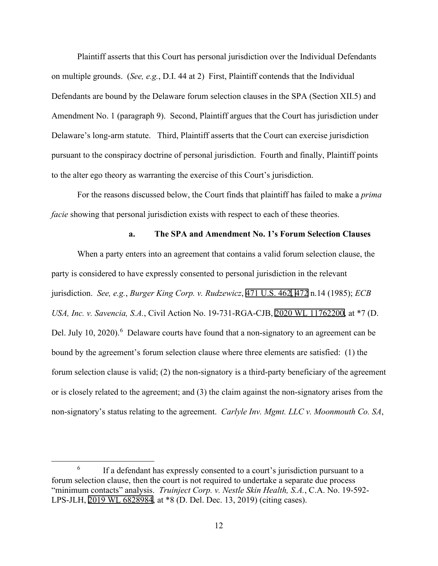Plaintiff asserts that this Court has personal jurisdiction over the Individual Defendants on multiple grounds. (*See, e.g.*, D.I. 44 at 2) First, Plaintiff contends that the Individual Defendants are bound by the Delaware forum selection clauses in the SPA (Section XII.5) and Amendment No. 1 (paragraph 9). Second, Plaintiff argues that the Court has jurisdiction under Delaware's long-arm statute. Third, Plaintiff asserts that the Court can exercise jurisdiction pursuant to the conspiracy doctrine of personal jurisdiction. Fourth and finally, Plaintiff points to the alter ego theory as warranting the exercise of this Court's jurisdiction.

For the reasons discussed below, the Court finds that plaintiff has failed to make a *prima facie* showing that personal jurisdiction exists with respect to each of these theories.

## **a. The SPA and Amendment No. 1's Forum Selection Clauses**

When a party enters into an agreement that contains a valid forum selection clause, the party is considered to have expressly consented to personal jurisdiction in the relevant jurisdiction. *See, e.g.*, *Burger King Corp. v. Rudzewicz*, [471 U.S. 46](http://www.google.com/search?q=471+u.s.+462)[2,](http://scholar.google.com/scholar?q=471+u.s.+462&btnG=&hl=en&as_sdt=6) [472](http://www.google.com/search?q=472) n.14 (1985); *ECB USA, Inc. v. Savencia, S.A.*, Civil Action No. 19-731-RGA-CJB, [2020 WL 11762200](https://www.westlaw.com/Link/Document/FullText?rs=USCLink&vr=3.0&findType=Y&cite=2020%2Bwl%2B11762200&refPos=11762200&refPosType=s&clientid=USCourts), at \*7 (D. Del. July 10, 2020).<sup>[6](#page-11-0)</sup> Delaware courts have found that a non-signatory to an agreement can be bound by the agreement's forum selection clause where three elements are satisfied: (1) the forum selection clause is valid; (2) the non-signatory is a third-party beneficiary of the agreement or is closely related to the agreement; and (3) the claim against the non-signatory arises from the non-signatory's status relating to the agreement. *Carlyle Inv. Mgmt. LLC v. Moonmouth Co. SA*,

<span id="page-11-0"></span> $6\,$  If a defendant has expressly consented to a court's jurisdiction pursuant to a forum selection clause, then the court is not required to undertake a separate due process "minimum contacts" analysis. *Truinject Corp. v. Nestle Skin Health, S.A.*, C.A. No. 19-592- LPS-JLH, [2019 WL 6828984,](https://www.westlaw.com/Link/Document/FullText?rs=USCLink&vr=3.0&findType=Y&cite=2019%2B%2Bwl%2B%2B6828984&refPos=6828984&refPosType=s&clientid=USCourts) at \*8 (D. Del. Dec. 13, 2019) (citing cases).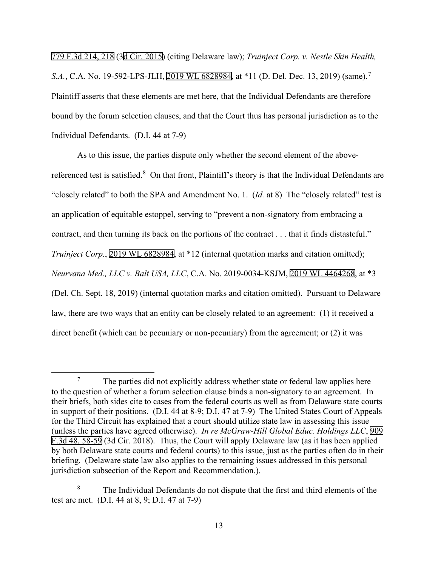[779 F.3d 214, 218](http://scholar.google.com/scholar?q=779+f.3d+214&btnG=&hl=en&as_sdt=6) (3[d Cir. 2015\)](http://www.google.com/search?q=utah+rules+of+civil+procedure,+rule++2015) (citing Delaware law); *Truinject Corp. v. Nestle Skin Health, S.A.*, C.A. No. 19-592-LPS-JLH, [2019 WL 6828984,](https://www.westlaw.com/Link/Document/FullText?rs=USCLink&vr=3.0&findType=Y&cite=2019%2Bwl%2B6828984&refPos=6828984&refPosType=s&clientid=USCourts) at \*11 (D. Del. Dec. 13, 2019) (same).<sup>[7](#page-12-0)</sup> Plaintiff asserts that these elements are met here, that the Individual Defendants are therefore bound by the forum selection clauses, and that the Court thus has personal jurisdiction as to the Individual Defendants. (D.I. 44 at 7-9)

As to this issue, the parties dispute only whether the second element of the above-referenced test is satisfied.<sup>[8](#page-12-1)</sup> On that front, Plaintiff's theory is that the Individual Defendants are "closely related" to both the SPA and Amendment No. 1. (*Id.* at 8) The "closely related" test is an application of equitable estoppel, serving to "prevent a non-signatory from embracing a contract, and then turning its back on the portions of the contract . . . that it finds distasteful." *Truinject Corp.*, [2019 WL 6828984](https://www.westlaw.com/Link/Document/FullText?rs=USCLink&vr=3.0&findType=Y&cite=2019%2Bwl%2B6828984&refPos=6828984&refPosType=s&clientid=USCourts), at \*12 (internal quotation marks and citation omitted); *Neurvana Med., LLC v. Balt USA, LLC*, C.A. No. 2019-0034-KSJM, [2019 WL 4464268](https://www.westlaw.com/Link/Document/FullText?rs=USCLink&vr=3.0&findType=Y&cite=2019%2Bwl%2B4464268&refPos=4464268&refPosType=s&clientid=USCourts), at \*3 (Del. Ch. Sept. 18, 2019) (internal quotation marks and citation omitted). Pursuant to Delaware law, there are two ways that an entity can be closely related to an agreement: (1) it received a direct benefit (which can be pecuniary or non-pecuniary) from the agreement; or (2) it was

<span id="page-12-0"></span> $7 \text{$  The parties did not explicitly address whether state or federal law applies here to the question of whether a forum selection clause binds a non-signatory to an agreement. In their briefs, both sides cite to cases from the federal courts as well as from Delaware state courts in support of their positions. (D.I. 44 at 8-9; D.I. 47 at 7-9) The United States Court of Appeals for the Third Circuit has explained that a court should utilize state law in assessing this issue (unless the parties have agreed otherwise). *In re McGraw-Hill Global Educ. Holdings LLC*, [909](http://scholar.google.com/scholar?q=909+f.3d++48&btnG=&hl=en&as_sdt=6)  [F.3d 48, 58-59](http://scholar.google.com/scholar?q=909+f.3d++48&btnG=&hl=en&as_sdt=6) (3d Cir. 2018). Thus, the Court will apply Delaware law (as it has been applied by both Delaware state courts and federal courts) to this issue, just as the parties often do in their briefing. (Delaware state law also applies to the remaining issues addressed in this personal jurisdiction subsection of the Report and Recommendation.).

<span id="page-12-1"></span><sup>&</sup>lt;sup>8</sup> The Individual Defendants do not dispute that the first and third elements of the test are met. (D.I. 44 at 8, 9; D.I. 47 at 7-9)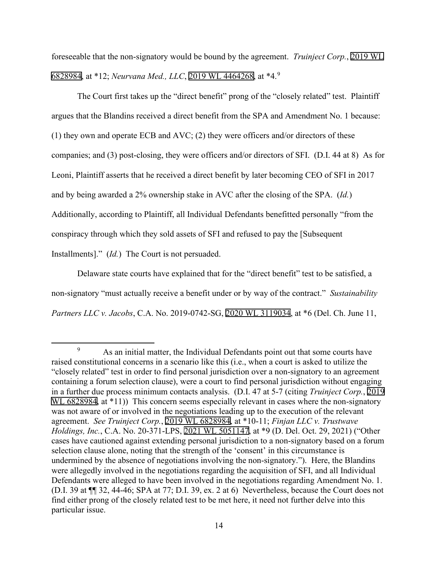foreseeable that the non-signatory would be bound by the agreement. *Truinject Corp.*, [2019 WL](https://www.westlaw.com/Link/Document/FullText?rs=USCLink&vr=3.0&findType=Y&cite=2019%2Bwl6828984&refPos=6828984&refPosType=s&clientid=USCourts) [6828984](https://www.westlaw.com/Link/Document/FullText?rs=USCLink&vr=3.0&findType=Y&cite=2019%2Bwl6828984&refPos=6828984&refPosType=s&clientid=USCourts), at \*12; *Neurvana Med., LLC*, [2019 WL 4464268,](https://www.westlaw.com/Link/Document/FullText?rs=USCLink&vr=3.0&findType=Y&cite=2019%2Bwl%2B4464268&refPos=4464268&refPosType=s&clientid=USCourts) at \*4.[9](#page-13-0)

The Court first takes up the "direct benefit" prong of the "closely related" test. Plaintiff argues that the Blandins received a direct benefit from the SPA and Amendment No. 1 because: (1) they own and operate ECB and AVC; (2) they were officers and/or directors of these companies; and (3) post-closing, they were officers and/or directors of SFI. (D.I. 44 at 8) As for Leoni, Plaintiff asserts that he received a direct benefit by later becoming CEO of SFI in 2017 and by being awarded a 2% ownership stake in AVC after the closing of the SPA. (*Id.*) Additionally, according to Plaintiff, all Individual Defendants benefitted personally "from the conspiracy through which they sold assets of SFI and refused to pay the [Subsequent Installments]." (*Id.*) The Court is not persuaded.

Delaware state courts have explained that for the "direct benefit" test to be satisfied, a non-signatory "must actually receive a benefit under or by way of the contract." *Sustainability Partners LLC v. Jacobs*, C.A. No. 2019-0742-SG, [2020 WL 3119034](https://www.westlaw.com/Link/Document/FullText?rs=USCLink&vr=3.0&findType=Y&cite=2020%2Bwl%2B3119034&refPos=3119034&refPosType=s&clientid=USCourts), at \*6 (Del. Ch. June 11,

<span id="page-13-0"></span><sup>&</sup>lt;sup>9</sup> As an initial matter, the Individual Defendants point out that some courts have raised constitutional concerns in a scenario like this (i.e., when a court is asked to utilize the "closely related" test in order to find personal jurisdiction over a non-signatory to an agreement containing a forum selection clause), were a court to find personal jurisdiction without engaging in a further due process minimum contacts analysis. (D.I. 47 at 5-7 (citing *Truinject Corp.*, [2019](https://www.westlaw.com/Link/Document/FullText?rs=USCLink&vr=3.0&findType=Y&cite=2019%2Bwl%2B%2B6828984&refPos=6828984&refPosType=s&clientid=USCourts)  [WL 6828984,](https://www.westlaw.com/Link/Document/FullText?rs=USCLink&vr=3.0&findType=Y&cite=2019%2Bwl%2B%2B6828984&refPos=6828984&refPosType=s&clientid=USCourts) at \*11)) This concern seems especially relevant in cases where the non-signatory was not aware of or involved in the negotiations leading up to the execution of the relevant agreement. *See Truinject Corp.*, [2019 WL 6828984,](https://www.westlaw.com/Link/Document/FullText?rs=USCLink&vr=3.0&findType=Y&cite=2019%2B%2Bwl%2B%2B6828984&refPos=6828984&refPosType=s&clientid=USCourts) at \*10-11; *Finjan LLC v. Trustwave Holdings, Inc.*, C.A. No. 20-371-LPS, [2021 WL 5051147](https://www.westlaw.com/Link/Document/FullText?rs=USCLink&vr=3.0&findType=Y&cite=2021%2B%2Bwl%2B%2B5051147&refPos=5051147&refPosType=s&clientid=USCourts), at \*9 (D. Del. Oct. 29, 2021) ("Other cases have cautioned against extending personal jurisdiction to a non-signatory based on a forum selection clause alone, noting that the strength of the 'consent' in this circumstance is undermined by the absence of negotiations involving the non-signatory."). Here, the Blandins were allegedly involved in the negotiations regarding the acquisition of SFI, and all Individual Defendants were alleged to have been involved in the negotiations regarding Amendment No. 1. (D.I. 39 at ¶¶ 32, 44-46; SPA at 77; D.I. 39, ex. 2 at 6) Nevertheless, because the Court does not find either prong of the closely related test to be met here, it need not further delve into this particular issue.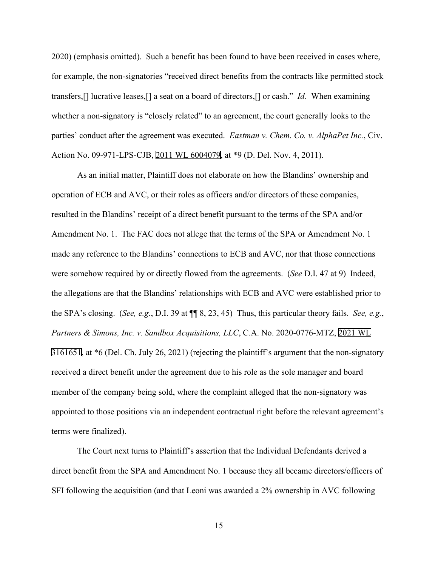2020) (emphasis omitted). Such a benefit has been found to have been received in cases where, for example, the non-signatories "received direct benefits from the contracts like permitted stock transfers,[] lucrative leases,[] a seat on a board of directors,[] or cash." *Id.* When examining whether a non-signatory is "closely related" to an agreement, the court generally looks to the parties' conduct after the agreement was executed. *Eastman v. Chem. Co. v. AlphaPet Inc.*, Civ. Action No. 09-971-LPS-CJB, [2011 WL 6004079](https://www.westlaw.com/Link/Document/FullText?rs=USCLink&vr=3.0&findType=Y&cite=2011%2Bwl%2B6004079&refPos=6004079&refPosType=s&clientid=USCourts), at \*9 (D. Del. Nov. 4, 2011).

As an initial matter, Plaintiff does not elaborate on how the Blandins' ownership and operation of ECB and AVC, or their roles as officers and/or directors of these companies, resulted in the Blandins' receipt of a direct benefit pursuant to the terms of the SPA and/or Amendment No. 1. The FAC does not allege that the terms of the SPA or Amendment No. 1 made any reference to the Blandins' connections to ECB and AVC, nor that those connections were somehow required by or directly flowed from the agreements. (*See* D.I. 47 at 9) Indeed, the allegations are that the Blandins' relationships with ECB and AVC were established prior to the SPA's closing. (*See, e.g.*, D.I. 39 at ¶¶ 8, 23, 45) Thus, this particular theory fails. *See, e.g.*, *Partners & Simons, Inc. v. Sandbox Acquisitions, LLC*, C.A. No. 2020-0776-MTZ, [2021 WL](https://www.westlaw.com/Link/Document/FullText?rs=USCLink&vr=3.0&findType=Y&cite=2021%2Bwl%2B%2B3161651&refPos=3161651&refPosType=s&clientid=USCourts)  [3161651](https://www.westlaw.com/Link/Document/FullText?rs=USCLink&vr=3.0&findType=Y&cite=2021%2Bwl%2B%2B3161651&refPos=3161651&refPosType=s&clientid=USCourts), at \*6 (Del. Ch. July 26, 2021) (rejecting the plaintiff's argument that the non-signatory received a direct benefit under the agreement due to his role as the sole manager and board member of the company being sold, where the complaint alleged that the non-signatory was appointed to those positions via an independent contractual right before the relevant agreement's terms were finalized).

The Court next turns to Plaintiff's assertion that the Individual Defendants derived a direct benefit from the SPA and Amendment No. 1 because they all became directors/officers of SFI following the acquisition (and that Leoni was awarded a 2% ownership in AVC following

15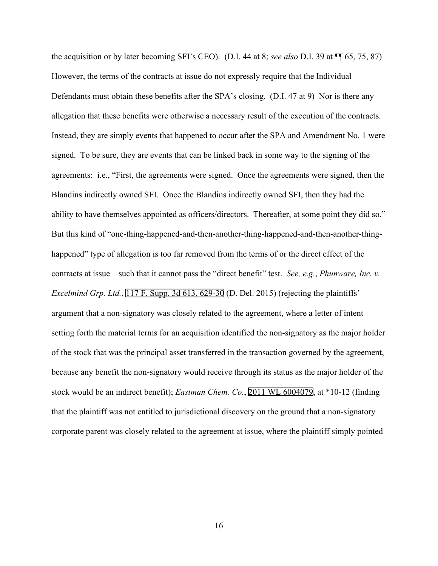the acquisition or by later becoming SFI's CEO). (D.I. 44 at 8; *see also* D.I. 39 at ¶¶ 65, 75, 87) However, the terms of the contracts at issue do not expressly require that the Individual Defendants must obtain these benefits after the SPA's closing. (D.I. 47 at 9) Nor is there any allegation that these benefits were otherwise a necessary result of the execution of the contracts. Instead, they are simply events that happened to occur after the SPA and Amendment No. 1 were signed. To be sure, they are events that can be linked back in some way to the signing of the agreements: i.e., "First, the agreements were signed. Once the agreements were signed, then the Blandins indirectly owned SFI. Once the Blandins indirectly owned SFI, then they had the ability to have themselves appointed as officers/directors. Thereafter, at some point they did so." But this kind of "one-thing-happened-and-then-another-thing-happened-and-then-another-thinghappened" type of allegation is too far removed from the terms of or the direct effect of the contracts at issue—such that it cannot pass the "direct benefit" test. *See, e.g.*, *Phunware, Inc. v. Excelmind Grp. Ltd.*, [117 F. Supp. 3d 613, 629-30](http://scholar.google.com/scholar?q=117+f.+supp.+3d+613&btnG=&hl=en&as_sdt=6) (D. Del. 2015) (rejecting the plaintiffs' argument that a non-signatory was closely related to the agreement, where a letter of intent setting forth the material terms for an acquisition identified the non-signatory as the major holder of the stock that was the principal asset transferred in the transaction governed by the agreement, because any benefit the non-signatory would receive through its status as the major holder of the stock would be an indirect benefit); *Eastman Chem. Co.*, [2011 WL 6004079,](https://www.westlaw.com/Link/Document/FullText?rs=USCLink&vr=3.0&findType=Y&cite=2011%2Bwl%2B6004079&refPos=6004079&refPosType=s&clientid=USCourts) at \*10-12 (finding that the plaintiff was not entitled to jurisdictional discovery on the ground that a non-signatory corporate parent was closely related to the agreement at issue, where the plaintiff simply pointed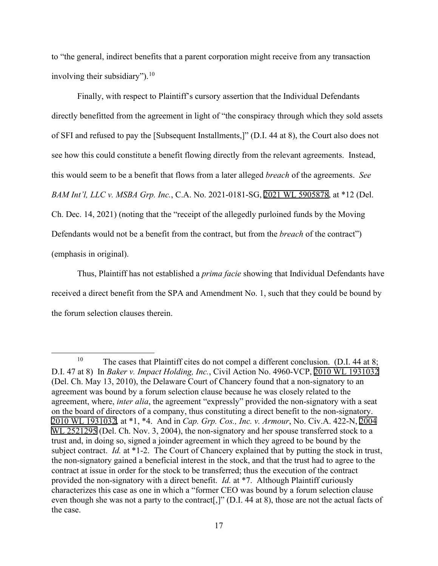to "the general, indirect benefits that a parent corporation might receive from any transaction involving their subsidiary").  $10$ 

Finally, with respect to Plaintiff's cursory assertion that the Individual Defendants directly benefitted from the agreement in light of "the conspiracy through which they sold assets of SFI and refused to pay the [Subsequent Installments,]" (D.I. 44 at 8), the Court also does not see how this could constitute a benefit flowing directly from the relevant agreements. Instead, this would seem to be a benefit that flows from a later alleged *breach* of the agreements. *See BAM Int'l, LLC v. MSBA Grp. Inc.*, C.A. No. 2021-0181-SG, [2021 WL 5905878,](https://www.westlaw.com/Link/Document/FullText?rs=USCLink&vr=3.0&findType=Y&cite=2021%2Bwl%2B5905878&refPos=5905878&refPosType=s&clientid=USCourts) at \*12 (Del. Ch. Dec. 14, 2021) (noting that the "receipt of the allegedly purloined funds by the Moving Defendants would not be a benefit from the contract, but from the *breach* of the contract") (emphasis in original).

Thus, Plaintiff has not established a *prima facie* showing that Individual Defendants have received a direct benefit from the SPA and Amendment No. 1, such that they could be bound by the forum selection clauses therein.

<span id="page-16-0"></span><sup>&</sup>lt;sup>10</sup> The cases that Plaintiff cites do not compel a different conclusion. (D.I. 44 at 8; D.I. 47 at 8) In *Baker v. Impact Holding, Inc.*, Civil Action No. 4960-VCP, [2010 WL 1931032](https://www.westlaw.com/Link/Document/FullText?rs=USCLink&vr=3.0&findType=Y&cite=2010%2B%2Bwl%2B%2B1931032&refPos=1931032&refPosType=s&clientid=USCourts)  (Del. Ch. May 13, 2010), the Delaware Court of Chancery found that a non-signatory to an agreement was bound by a forum selection clause because he was closely related to the agreement, where, *inter alia*, the agreement "expressly" provided the non-signatory with a seat on the board of directors of a company, thus constituting a direct benefit to the non-signatory. [2010 WL 1931032,](https://www.westlaw.com/Link/Document/FullText?rs=USCLink&vr=3.0&findType=Y&cite=2010%2B%2Bwl%2B%2B1931032&refPos=1931032&refPosType=s&clientid=USCourts) at \*1, \*4. And in *Cap. Grp. Cos., Inc. v. Armour*, No. Civ.A. 422-N, [2004](https://www.westlaw.com/Link/Document/FullText?rs=USCLink&vr=3.0&findType=Y&cite=2004%2Bwl%2B%2B2521295&refPos=2521295&refPosType=s&clientid=USCourts)  [WL 2521295](https://www.westlaw.com/Link/Document/FullText?rs=USCLink&vr=3.0&findType=Y&cite=2004%2Bwl%2B%2B2521295&refPos=2521295&refPosType=s&clientid=USCourts) (Del. Ch. Nov. 3, 2004), the non-signatory and her spouse transferred stock to a trust and, in doing so, signed a joinder agreement in which they agreed to be bound by the subject contract. *Id.* at \*1-2. The Court of Chancery explained that by putting the stock in trust, the non-signatory gained a beneficial interest in the stock, and that the trust had to agree to the contract at issue in order for the stock to be transferred; thus the execution of the contract provided the non-signatory with a direct benefit. *Id.* at \*7. Although Plaintiff curiously characterizes this case as one in which a "former CEO was bound by a forum selection clause even though she was not a party to the contract[,]" (D.I. 44 at 8), those are not the actual facts of the case.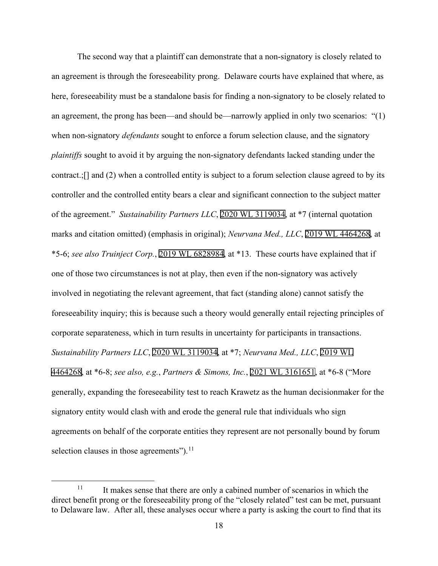The second way that a plaintiff can demonstrate that a non-signatory is closely related to an agreement is through the foreseeability prong. Delaware courts have explained that where, as here, foreseeability must be a standalone basis for finding a non-signatory to be closely related to an agreement, the prong has been—and should be—narrowly applied in only two scenarios: "(1) when non-signatory *defendants* sought to enforce a forum selection clause, and the signatory *plaintiffs* sought to avoid it by arguing the non-signatory defendants lacked standing under the contract.;[] and (2) when a controlled entity is subject to a forum selection clause agreed to by its controller and the controlled entity bears a clear and significant connection to the subject matter of the agreement." *Sustainability Partners LLC*, [2020 WL 3119034,](https://www.westlaw.com/Link/Document/FullText?rs=USCLink&vr=3.0&findType=Y&cite=2020%2Bwl%2B3119034&refPos=3119034&refPosType=s&clientid=USCourts) at \*7 (internal quotation marks and citation omitted) (emphasis in original); *Neurvana Med., LLC*, [2019 WL 4464268,](https://www.westlaw.com/Link/Document/FullText?rs=USCLink&vr=3.0&findType=Y&cite=2019%2Bwl%2B4464268&refPos=4464268&refPosType=s&clientid=USCourts) at \*5-6; *see also Truinject Corp.*, [2019 WL 6828984,](https://www.westlaw.com/Link/Document/FullText?rs=USCLink&vr=3.0&findType=Y&cite=2019%2Bwl%2B6828984&refPos=6828984&refPosType=s&clientid=USCourts) at \*13. These courts have explained that if one of those two circumstances is not at play, then even if the non-signatory was actively involved in negotiating the relevant agreement, that fact (standing alone) cannot satisfy the foreseeability inquiry; this is because such a theory would generally entail rejecting principles of corporate separateness, which in turn results in uncertainty for participants in transactions. *Sustainability Partners LLC*, [2020 WL 3119034](https://www.westlaw.com/Link/Document/FullText?rs=USCLink&vr=3.0&findType=Y&cite=2020%2Bwl%2B3119034&refPos=3119034&refPosType=s&clientid=USCourts), at \*7; *Neurvana Med., LLC*, [2019 WL](https://www.westlaw.com/Link/Document/FullText?rs=USCLink&vr=3.0&findType=Y&cite=2019%2Bwl%2B%2B4464268&refPos=4464268&refPosType=s&clientid=USCourts)  [4464268](https://www.westlaw.com/Link/Document/FullText?rs=USCLink&vr=3.0&findType=Y&cite=2019%2Bwl%2B%2B4464268&refPos=4464268&refPosType=s&clientid=USCourts), at \*6-8; *see also, e.g.*, *Partners & Simons, Inc.*, [2021 WL 3161651,](https://www.westlaw.com/Link/Document/FullText?rs=USCLink&vr=3.0&findType=Y&cite=2021%2Bwl%2B3161651&refPos=3161651&refPosType=s&clientid=USCourts) at \*6-8 ("More generally, expanding the foreseeability test to reach Krawetz as the human decisionmaker for the signatory entity would clash with and erode the general rule that individuals who sign agreements on behalf of the corporate entities they represent are not personally bound by forum selection clauses in those agreements"). $^{11}$  $^{11}$  $^{11}$ 

<span id="page-17-0"></span> $11$  It makes sense that there are only a cabined number of scenarios in which the direct benefit prong or the foreseeability prong of the "closely related" test can be met, pursuant to Delaware law. After all, these analyses occur where a party is asking the court to find that its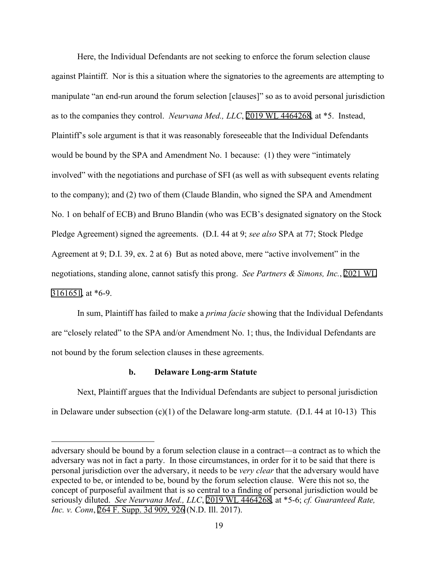Here, the Individual Defendants are not seeking to enforce the forum selection clause against Plaintiff. Nor is this a situation where the signatories to the agreements are attempting to manipulate "an end-run around the forum selection [clauses]" so as to avoid personal jurisdiction as to the companies they control. *Neurvana Med., LLC*, [2019 WL 4464268,](https://www.westlaw.com/Link/Document/FullText?rs=USCLink&vr=3.0&findType=Y&cite=2019%2Bwl%2B4464268&refPos=4464268&refPosType=s&clientid=USCourts) at \*5. Instead, Plaintiff's sole argument is that it was reasonably foreseeable that the Individual Defendants would be bound by the SPA and Amendment No. 1 because: (1) they were "intimately involved" with the negotiations and purchase of SFI (as well as with subsequent events relating to the company); and (2) two of them (Claude Blandin, who signed the SPA and Amendment No. 1 on behalf of ECB) and Bruno Blandin (who was ECB's designated signatory on the Stock Pledge Agreement) signed the agreements. (D.I. 44 at 9; *see also* SPA at 77; Stock Pledge Agreement at 9; D.I. 39, ex. 2 at 6) But as noted above, mere "active involvement" in the negotiations, standing alone, cannot satisfy this prong. *See Partners & Simons, Inc.*, [2021 WL](https://www.westlaw.com/Link/Document/FullText?rs=USCLink&vr=3.0&findType=Y&cite=2021%2Bwl%2B%2B3161651&refPos=3161651&refPosType=s&clientid=USCourts)  [3161651](https://www.westlaw.com/Link/Document/FullText?rs=USCLink&vr=3.0&findType=Y&cite=2021%2Bwl%2B%2B3161651&refPos=3161651&refPosType=s&clientid=USCourts), at \*6-9.

In sum, Plaintiff has failed to make a *prima facie* showing that the Individual Defendants are "closely related" to the SPA and/or Amendment No. 1; thus, the Individual Defendants are not bound by the forum selection clauses in these agreements.

# **b. Delaware Long-arm Statute**

Next, Plaintiff argues that the Individual Defendants are subject to personal jurisdiction in Delaware under subsection (c)(1) of the Delaware long-arm statute. (D.I. 44 at 10-13) This

adversary should be bound by a forum selection clause in a contract—a contract as to which the adversary was not in fact a party. In those circumstances, in order for it to be said that there is personal jurisdiction over the adversary, it needs to be *very clear* that the adversary would have expected to be, or intended to be, bound by the forum selection clause. Were this not so, the concept of purposeful availment that is so central to a finding of personal jurisdiction would be seriously diluted. *See Neurvana Med., LLC*, [2019 WL 4464268,](https://www.westlaw.com/Link/Document/FullText?rs=USCLink&vr=3.0&findType=Y&cite=2019%2B%2Bwl%2B%2B4464268&refPos=4464268&refPosType=s&clientid=USCourts) at \*5-6; *cf. Guaranteed Rate, Inc. v. Conn*, [264 F. Supp. 3d 909, 926](http://scholar.google.com/scholar?q=264++f.++supp.++3d++909&btnG=&hl=en&as_sdt=6) (N.D. Ill. 2017).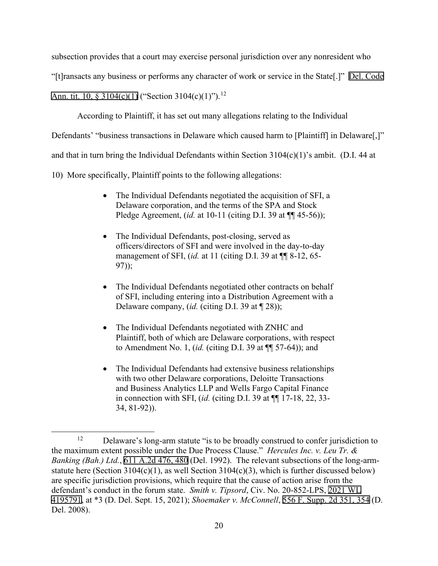subsection provides that a court may exercise personal jurisdiction over any nonresident who

"[t]ransacts any business or performs any character of work or service in the State[.]" [Del. Code](http://www.google.com/search?q=del.+code++ann.+tit.+10,++3104(c)(1))

[Ann. tit. 10, § 3104\(c\)\(1\)](http://www.google.com/search?q=del.+code++ann.+tit.+10,++3104(c)(1)) ("Section 3104(c)(1)").<sup>12</sup>

According to Plaintiff, it has set out many allegations relating to the Individual

Defendants' "business transactions in Delaware which caused harm to [Plaintiff] in Delaware[,]"

and that in turn bring the Individual Defendants within Section  $3104(c)(1)$ 's ambit. (D.I. 44 at

10) More specifically, Plaintiff points to the following allegations:

- The Individual Defendants negotiated the acquisition of SFI, a Delaware corporation, and the terms of the SPA and Stock Pledge Agreement, (*id.* at 10-11 (citing D.I. 39 at ¶¶ 45-56));
- The Individual Defendants, post-closing, served as officers/directors of SFI and were involved in the day-to-day management of SFI, (*id.* at 11 (citing D.I. 39 at ¶¶ 8-12, 65- 97));
- The Individual Defendants negotiated other contracts on behalf of SFI, including entering into a Distribution Agreement with a Delaware company, (*id.* (citing D.I. 39 at ¶ 28));
- The Individual Defendants negotiated with ZNHC and Plaintiff, both of which are Delaware corporations, with respect to Amendment No. 1, (*id.* (citing D.I. 39 at ¶¶ 57-64)); and
- The Individual Defendants had extensive business relationships with two other Delaware corporations, Deloitte Transactions and Business Analytics LLP and Wells Fargo Capital Finance in connection with SFI, (*id.* (citing D.I. 39 at ¶¶ 17-18, 22, 33- 34, 81-92)).

<span id="page-19-0"></span><sup>&</sup>lt;sup>12</sup> Delaware's long-arm statute "is to be broadly construed to confer jurisdiction to the maximum extent possible under the Due Process Clause." *Hercules Inc. v. Leu Tr. & Banking (Bah.) Ltd.*, [611 A.2d 476,](http://scholar.google.com/scholar?q=611++a.2d++476&btnG=&hl=en&as_sdt=6) 480 (Del. 1992). The relevant subsections of the long-armstatute here (Section 3104(c)(1), as well Section 3104(c)(3), which is further discussed below) are specific jurisdiction provisions, which require that the cause of action arise from the defendant's conduct in the forum state. *Smith v. Tipsord*, Civ. No. 20-852-LPS, [2021 WL](https://www.westlaw.com/Link/Document/FullText?rs=USCLink&vr=3.0&findType=Y&cite=2021%2B%2Bwl%2B4195791&refPos=4195791&refPosType=s&clientid=USCourts)  [4195791](https://www.westlaw.com/Link/Document/FullText?rs=USCLink&vr=3.0&findType=Y&cite=2021%2B%2Bwl%2B4195791&refPos=4195791&refPosType=s&clientid=USCourts), at \*3 (D. Del. Sept. 15, 2021); *Shoemaker v. McConnell*, [556 F. Supp. 2d 351, 354](http://scholar.google.com/scholar?q=556++f.++supp.++2d++351&btnG=&hl=en&as_sdt=6) (D. Del. 2008).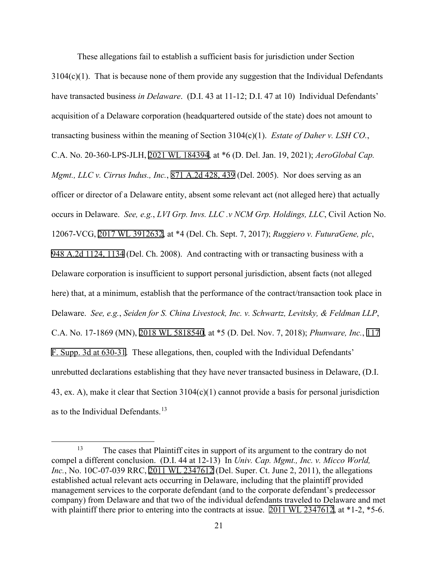These allegations fail to establish a sufficient basis for jurisdiction under Section  $3104(c)(1)$ . That is because none of them provide any suggestion that the Individual Defendants have transacted business *in Delaware*. (D.I. 43 at 11-12; D.I. 47 at 10) Individual Defendants' acquisition of a Delaware corporation (headquartered outside of the state) does not amount to transacting business within the meaning of Section 3104(c)(1). *Estate of Daher v. LSH CO.*, C.A. No. 20-360-LPS-JLH, [2021 WL 184394](https://www.westlaw.com/Link/Document/FullText?rs=USCLink&vr=3.0&findType=Y&cite=2021%2Bwl%2B184394&refPos=184394&refPosType=s&clientid=USCourts), at \*6 (D. Del. Jan. 19, 2021); *AeroGlobal Cap. Mgmt., LLC v. Cirrus Indus., Inc.*, [871 A.2d 428, 439](http://scholar.google.com/scholar?q=871+a.2d+428&btnG=&hl=en&as_sdt=6) (Del. 2005). Nor does serving as an officer or director of a Delaware entity, absent some relevant act (not alleged here) that actually occurs in Delaware. *See, e.g.*, *LVI Grp. Invs. LLC .v NCM Grp. Holdings, LLC*, Civil Action No. 12067-VCG, [2017 WL 3912632,](https://www.westlaw.com/Link/Document/FullText?rs=USCLink&vr=3.0&findType=Y&cite=2017%2Bwl%2B3912632&refPos=3912632&refPosType=s&clientid=USCourts) at \*4 (Del. Ch. Sept. 7, 2017); *Ruggiero v. FuturaGene, plc*, [948 A.2d 1124, 1134](http://scholar.google.com/scholar?q=948+a.2d+1124&btnG=&hl=en&as_sdt=6) (Del. Ch. 2008). And contracting with or transacting business with a Delaware corporation is insufficient to support personal jurisdiction, absent facts (not alleged here) that, at a minimum, establish that the performance of the contract/transaction took place in Delaware. *See, e.g.*, *Seiden for S. China Livestock, Inc. v. Schwartz, Levitsky, & Feldman LLP*, C.A. No. 17-1869 (MN), [2018 WL 5818540](https://www.westlaw.com/Link/Document/FullText?rs=USCLink&vr=3.0&findType=Y&cite=2018%2Bwl%2B5818540&refPos=5818540&refPosType=s&clientid=USCourts), at \*5 (D. Del. Nov. 7, 2018); *Phunware, Inc.*, [117](http://scholar.google.com/scholar?q=117+f.+supp.+3d+613&btnG=&hl=en&as_sdt=6)  [F. Supp. 3d at 630-31.](http://scholar.google.com/scholar?q=117+f.+supp.+3d+613&btnG=&hl=en&as_sdt=6) These allegations, then, coupled with the Individual Defendants' unrebutted declarations establishing that they have never transacted business in Delaware, (D.I. 43, ex. A), make it clear that Section 3104(c)(1) cannot provide a basis for personal jurisdiction as to the Individual Defendants.<sup>[13](#page-20-0)</sup>

<span id="page-20-0"></span><sup>&</sup>lt;sup>13</sup> The cases that Plaintiff cites in support of its argument to the contrary do not compel a different conclusion. (D.I. 44 at 12-13) In *Univ. Cap. Mgmt., Inc. v. Micco World, Inc.*, No. 10C-07-039 RRC, [2011 WL 2347612](https://www.westlaw.com/Link/Document/FullText?rs=USCLink&vr=3.0&findType=Y&cite=2011%2B%2Bwl%2B%2B2347612&refPos=2347612&refPosType=s&clientid=USCourts) (Del. Super. Ct. June 2, 2011), the allegations established actual relevant acts occurring in Delaware, including that the plaintiff provided management services to the corporate defendant (and to the corporate defendant's predecessor company) from Delaware and that two of the individual defendants traveled to Delaware and met with plaintiff there prior to entering into the contracts at issue. [2011 WL 2347612,](https://www.westlaw.com/Link/Document/FullText?rs=USCLink&vr=3.0&findType=Y&cite=2011%2B%2Bwl%2B%2B2347612&refPos=2347612&refPosType=s&clientid=USCourts) at \*1-2, \*5-6.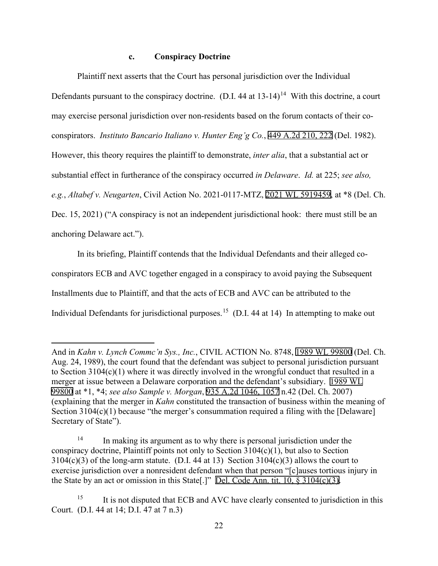# **c. Conspiracy Doctrine**

Plaintiff next asserts that the Court has personal jurisdiction over the Individual Defendants pursuant to the conspiracy doctrine. (D.I. 44 at  $13-14$  $13-14$ )<sup>14</sup> With this doctrine, a court may exercise personal jurisdiction over non-residents based on the forum contacts of their coconspirators. *Instituto Bancario Italiano v. Hunter Eng'g Co.*, [449 A.2d 210, 222](http://scholar.google.com/scholar?q=449+a.2d+210&btnG=&hl=en&as_sdt=6) (Del. 1982). However, this theory requires the plaintiff to demonstrate, *inter alia*, that a substantial act or substantial effect in furtherance of the conspiracy occurred *in Delaware*. *Id.* at 225; *see also, e.g.*, *Altabef v. Neugarten*, Civil Action No. 2021-0117-MTZ, [2021 WL 5919459](https://www.westlaw.com/Link/Document/FullText?rs=USCLink&vr=3.0&findType=Y&cite=2021%2Bwl%2B5919459&refPos=5919459&refPosType=s&clientid=USCourts), at \*8 (Del. Ch. Dec. 15, 2021) ("A conspiracy is not an independent jurisdictional hook: there must still be an anchoring Delaware act.").

In its briefing, Plaintiff contends that the Individual Defendants and their alleged coconspirators ECB and AVC together engaged in a conspiracy to avoid paying the Subsequent Installments due to Plaintiff, and that the acts of ECB and AVC can be attributed to the Individual Defendants for jurisdictional purposes.<sup>15</sup> (D.I. 44 at 14) In attempting to make out

And in *Kahn v. Lynch Commc'n Sys., Inc.*, CIVIL ACTION No. 8748, [1989 WL 99800](https://www.westlaw.com/Link/Document/FullText?rs=USCLink&vr=3.0&findType=Y&cite=1989%2Bwl%2B99800&refPos=99800&refPosType=s&clientid=USCourts) (Del. Ch. Aug. 24, 1989), the court found that the defendant was subject to personal jurisdiction pursuant to Section 3104(c)(1) where it was directly involved in the wrongful conduct that resulted in a merger at issue between a Delaware corporation and the defendant's subsidiary. [1989 WL](https://www.westlaw.com/Link/Document/FullText?rs=USCLink&vr=3.0&findType=Y&cite=1989%2B%2Bwl%2B99800&refPos=99800&refPosType=s&clientid=USCourts) [99800](https://www.westlaw.com/Link/Document/FullText?rs=USCLink&vr=3.0&findType=Y&cite=1989%2B%2Bwl%2B99800&refPos=99800&refPosType=s&clientid=USCourts) at \*1, \*4; *see also Sample v. Morgan*, [935 A.2d 1046, 1057](http://scholar.google.com/scholar?q=935++a.2d++1046&btnG=&hl=en&as_sdt=6) n.42 (Del. Ch. 2007) (explaining that the merger in *Kahn* constituted the transaction of business within the meaning of Section 3104(c)(1) because "the merger's consummation required a filing with the [Delaware] Secretary of State").

<span id="page-21-0"></span><sup>&</sup>lt;sup>14</sup> In making its argument as to why there is personal jurisdiction under the conspiracy doctrine, Plaintiff points not only to Section 3104(c)(1), but also to Section  $3104(c)(3)$  of the long-arm statute. (D.I. 44 at 13) Section  $3104(c)(3)$  allows the court to exercise jurisdiction over a nonresident defendant when that person "[c]auses tortious injury in the State by an act or omission in this State[.]" [Del. Code Ann. tit. 10, §](http://www.google.com/search?q=del.++code++ann.++tit.++10,++++3104(c)(3)) 3104(c)(3).

<span id="page-21-1"></span><sup>&</sup>lt;sup>15</sup> It is not disputed that ECB and AVC have clearly consented to jurisdiction in this Court. (D.I. 44 at 14; D.I. 47 at 7 n.3)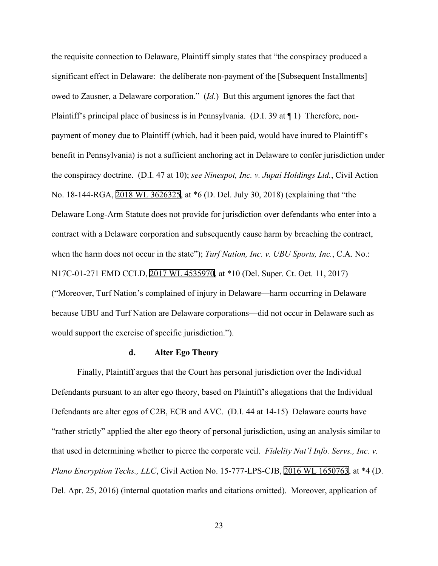the requisite connection to Delaware, Plaintiff simply states that "the conspiracy produced a significant effect in Delaware: the deliberate non-payment of the [Subsequent Installments] owed to Zausner, a Delaware corporation." (*Id.*) But this argument ignores the fact that Plaintiff's principal place of business is in Pennsylvania. (D.I. 39 at ¶ 1) Therefore, nonpayment of money due to Plaintiff (which, had it been paid, would have inured to Plaintiff's benefit in Pennsylvania) is not a sufficient anchoring act in Delaware to confer jurisdiction under the conspiracy doctrine. (D.I. 47 at 10); *see Ninespot, Inc. v. Jupai Holdings Ltd.*, Civil Action No. 18-144-RGA, [2018 WL 3626325,](https://www.westlaw.com/Link/Document/FullText?rs=USCLink&vr=3.0&findType=Y&cite=2018%2Bwl%2B3626325&refPos=3626325&refPosType=s&clientid=USCourts) at \*6 (D. Del. July 30, 2018) (explaining that "the Delaware Long-Arm Statute does not provide for jurisdiction over defendants who enter into a contract with a Delaware corporation and subsequently cause harm by breaching the contract, when the harm does not occur in the state"); *Turf Nation, Inc. v. UBU Sports, Inc.*, C.A. No.: N17C-01-271 EMD CCLD, [2017 WL 4535970,](https://www.westlaw.com/Link/Document/FullText?rs=USCLink&vr=3.0&findType=Y&cite=2017%2Bwl%2B4535970&refPos=4535970&refPosType=s&clientid=USCourts) at \*10 (Del. Super. Ct. Oct. 11, 2017) ("Moreover, Turf Nation's complained of injury in Delaware—harm occurring in Delaware because UBU and Turf Nation are Delaware corporations—did not occur in Delaware such as would support the exercise of specific jurisdiction.").

### **d. Alter Ego Theory**

Finally, Plaintiff argues that the Court has personal jurisdiction over the Individual Defendants pursuant to an alter ego theory, based on Plaintiff's allegations that the Individual Defendants are alter egos of C2B, ECB and AVC. (D.I. 44 at 14-15) Delaware courts have "rather strictly" applied the alter ego theory of personal jurisdiction, using an analysis similar to that used in determining whether to pierce the corporate veil. *Fidelity Nat'l Info. Servs., Inc. v. Plano Encryption Techs., LLC*, Civil Action No. 15-777-LPS-CJB, [2016 WL 1650763,](https://www.westlaw.com/Link/Document/FullText?rs=USCLink&vr=3.0&findType=Y&cite=2016%2Bwl%2B1650763&refPos=1650763&refPosType=s&clientid=USCourts) at \*4 (D. Del. Apr. 25, 2016) (internal quotation marks and citations omitted). Moreover, application of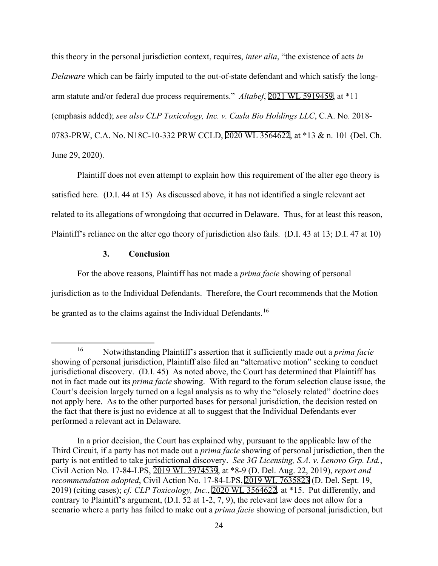this theory in the personal jurisdiction context, requires, *inter alia*, "the existence of acts *in Delaware* which can be fairly imputed to the out-of-state defendant and which satisfy the longarm statute and/or federal due process requirements." *Altabef*, [2021 WL 5919459](https://www.westlaw.com/Link/Document/FullText?rs=USCLink&vr=3.0&findType=Y&cite=2021%2Bwl%2B5919459&refPos=5919459&refPosType=s&clientid=USCourts), at \*11 (emphasis added); *see also CLP Toxicology, Inc. v. Casla Bio Holdings LLC*, C.A. No. 2018- 0783-PRW, C.A. No. N18C-10-332 PRW CCLD, [2020 WL 3564622,](https://www.westlaw.com/Link/Document/FullText?rs=USCLink&vr=3.0&findType=Y&cite=2020%2Bwl%2B3564622&refPos=3564622&refPosType=s&clientid=USCourts) at \*13 & n. 101 (Del. Ch. June 29, 2020).

Plaintiff does not even attempt to explain how this requirement of the alter ego theory is satisfied here. (D.I. 44 at 15) As discussed above, it has not identified a single relevant act related to its allegations of wrongdoing that occurred in Delaware. Thus, for at least this reason, Plaintiff's reliance on the alter ego theory of jurisdiction also fails. (D.I. 43 at 13; D.I. 47 at 10)

### **3. Conclusion**

For the above reasons, Plaintiff has not made a *prima facie* showing of personal jurisdiction as to the Individual Defendants. Therefore, the Court recommends that the Motion be granted as to the claims against the Individual Defendants.<sup>16</sup>

<span id="page-23-0"></span><sup>16</sup> Notwithstanding Plaintiff's assertion that it sufficiently made out a *prima facie*  showing of personal jurisdiction, Plaintiff also filed an "alternative motion" seeking to conduct jurisdictional discovery. (D.I. 45) As noted above, the Court has determined that Plaintiff has not in fact made out its *prima facie* showing. With regard to the forum selection clause issue, the Court's decision largely turned on a legal analysis as to why the "closely related" doctrine does not apply here. As to the other purported bases for personal jurisdiction, the decision rested on the fact that there is just no evidence at all to suggest that the Individual Defendants ever performed a relevant act in Delaware.

In a prior decision, the Court has explained why, pursuant to the applicable law of the Third Circuit, if a party has not made out a *prima facie* showing of personal jurisdiction, then the party is not entitled to take jurisdictional discovery. *See 3G Licensing, S.A. v. Lenovo Grp. Ltd.*, Civil Action No. 17-84-LPS, [2019 WL 3974539,](https://www.westlaw.com/Link/Document/FullText?rs=USCLink&vr=3.0&findType=Y&cite=2019%2B%2Bwl%2B%2B3974539&refPos=3974539&refPosType=s&clientid=USCourts) at \*8-9 (D. Del. Aug. 22, 2019), *report and recommendation adopted*, Civil Action No. 17-84-LPS, [2019 WL 7635823](https://www.westlaw.com/Link/Document/FullText?rs=USCLink&vr=3.0&findType=Y&cite=2019%2B%2Bwl%2B%2B7635823&refPos=7635823&refPosType=s&clientid=USCourts) (D. Del. Sept. 19, 2019) (citing cases); *cf. CLP Toxicology, Inc.*, [2020 WL 3564622,](https://www.westlaw.com/Link/Document/FullText?rs=USCLink&vr=3.0&findType=Y&cite=2020%2B%2Bwl%2B%2B3564622&refPos=3564622&refPosType=s&clientid=USCourts) at \*15. Put differently, and contrary to Plaintiff's argument, (D.I. 52 at 1-2, 7, 9), the relevant law does not allow for a scenario where a party has failed to make out a *prima facie* showing of personal jurisdiction, but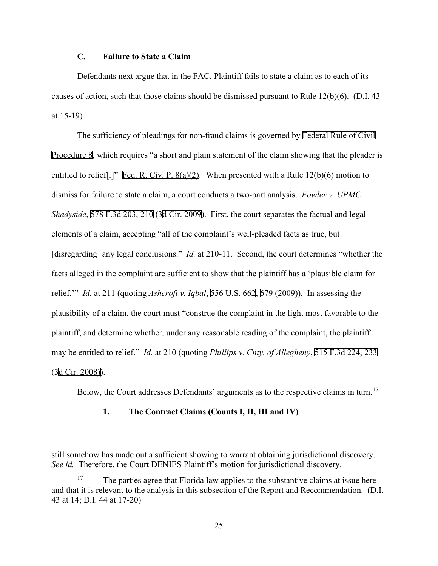# **C. Failure to State a Claim**

Defendants next argue that in the FAC, Plaintiff fails to state a claim as to each of its causes of action, such that those claims should be dismissed pursuant to Rule 12(b)(6). (D.I. 43 at 15-19)

The sufficiency of pleadings for non-fraud claims is governed by [Federal Rule of Civil](http://www.google.com/search?q=FRCP+8)  [Procedure 8](http://www.google.com/search?q=FRCP+8), which requires "a short and plain statement of the claim showing that the pleader is entitled to relief[.]" [Fed. R. Civ. P. 8\(a\)\(2\)](http://www.google.com/search?q=FRCP+8(a)(2)). When presented with a Rule 12(b)(6) motion to dismiss for failure to state a claim, a court conducts a two-part analysis. *Fowler v. UPMC Shadyside*, [578 F.3d 203, 210](http://scholar.google.com/scholar?q=578+f.3d+203&btnG=&hl=en&as_sdt=6) ([3d Cir. 2009\)](http://www.google.com/search?q=utah+rules+of+civil+procedure,+rule++2009). First, the court separates the factual and legal elements of a claim, accepting "all of the complaint's well-pleaded facts as true, but [disregarding] any legal conclusions." *Id.* at 210-11. Second, the court determines "whether the facts alleged in the complaint are sufficient to show that the plaintiff has a 'plausible claim for relief.'" *Id.* at 211 (quoting *Ashcroft v. Iqbal*, [556 U.S. 662](http://www.google.com/search?q=556+u.s.+662)[, 6](http://scholar.google.com/scholar?q=556+u.s.+662&btnG=&hl=en&as_sdt=6)[79](http://www.google.com/search?q=679) (2009)). In assessing the plausibility of a claim, the court must "construe the complaint in the light most favorable to the plaintiff, and determine whether, under any reasonable reading of the complaint, the plaintiff may be entitled to relief." *Id.* at 210 (quoting *Phillips v. Cnty. of Allegheny*, [515 F.3d 224, 233](http://scholar.google.com/scholar?q=515+f.3d+224&btnG=&hl=en&as_sdt=6)  (3[d Cir. 2008\)](http://www.google.com/search?q=utah+rules+of+civil+procedure,+rule++2008))).

Below, the Court addresses Defendants' arguments as to the respective claims in turn.<sup>[17](#page-24-0)</sup>

## **1. The Contract Claims (Counts I, II, III and IV)**

still somehow has made out a sufficient showing to warrant obtaining jurisdictional discovery. *See id.* Therefore, the Court DENIES Plaintiff's motion for jurisdictional discovery.

<span id="page-24-0"></span>The parties agree that Florida law applies to the substantive claims at issue here and that it is relevant to the analysis in this subsection of the Report and Recommendation. (D.I. 43 at 14; D.I. 44 at 17-20)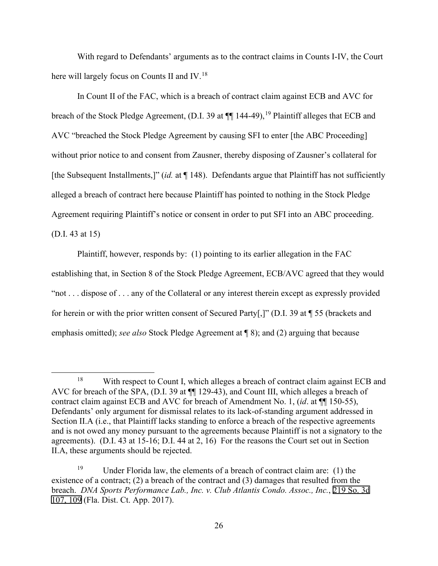With regard to Defendants' arguments as to the contract claims in Counts I-IV, the Court here will largely focus on Counts II and IV.<sup>[18](#page-25-0)</sup>

In Count II of the FAC, which is a breach of contract claim against ECB and AVC for breach of the Stock Pledge Agreement, (D.I. 39 at  $\P$  144-49), <sup>[19](#page-25-1)</sup> Plaintiff alleges that ECB and AVC "breached the Stock Pledge Agreement by causing SFI to enter [the ABC Proceeding] without prior notice to and consent from Zausner, thereby disposing of Zausner's collateral for [the Subsequent Installments,]" (*id.* at ¶ 148). Defendants argue that Plaintiff has not sufficiently alleged a breach of contract here because Plaintiff has pointed to nothing in the Stock Pledge Agreement requiring Plaintiff's notice or consent in order to put SFI into an ABC proceeding. (D.I. 43 at 15)

Plaintiff, however, responds by: (1) pointing to its earlier allegation in the FAC establishing that, in Section 8 of the Stock Pledge Agreement, ECB/AVC agreed that they would "not . . . dispose of . . . any of the Collateral or any interest therein except as expressly provided for herein or with the prior written consent of Secured Party[,]" (D.I. 39 at ¶ 55 (brackets and emphasis omitted); *see also* Stock Pledge Agreement at ¶ 8); and (2) arguing that because

<span id="page-25-0"></span><sup>&</sup>lt;sup>18</sup> With respect to Count I, which alleges a breach of contract claim against ECB and AVC for breach of the SPA, (D.I. 39 at ¶¶ 129-43), and Count III, which alleges a breach of contract claim against ECB and AVC for breach of Amendment No. 1, (*id*. at ¶¶ 150-55), Defendants' only argument for dismissal relates to its lack-of-standing argument addressed in Section II.A (i.e., that Plaintiff lacks standing to enforce a breach of the respective agreements and is not owed any money pursuant to the agreements because Plaintiff is not a signatory to the agreements). (D.I. 43 at 15-16; D.I. 44 at 2, 16) For the reasons the Court set out in Section II.A, these arguments should be rejected.

<span id="page-25-1"></span><sup>&</sup>lt;sup>19</sup> Under Florida law, the elements of a breach of contract claim are: (1) the existence of a contract; (2) a breach of the contract and (3) damages that resulted from the breach. *DNA Sports Performance Lab., Inc. v. Club Atlantis Condo. Assoc., Inc.*, [219 So. 3d](http://scholar.google.com/scholar?q=219++so.++3d+107&btnG=&hl=en&as_sdt=6) [107, 109](http://scholar.google.com/scholar?q=219++so.++3d+107&btnG=&hl=en&as_sdt=6) (Fla. Dist. Ct. App. 2017).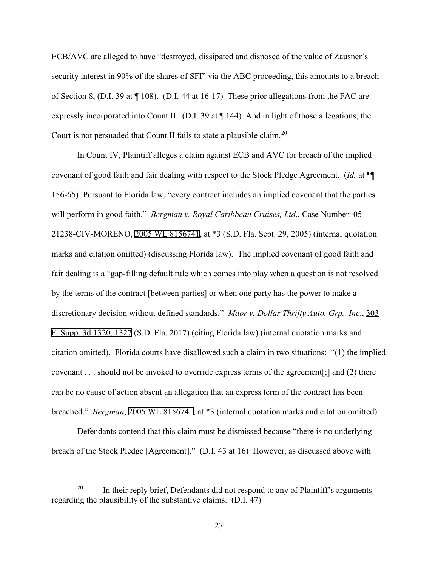ECB/AVC are alleged to have "destroyed, dissipated and disposed of the value of Zausner's security interest in 90% of the shares of SFI" via the ABC proceeding, this amounts to a breach of Section 8, (D.I. 39 at ¶ 108). (D.I. 44 at 16-17) These prior allegations from the FAC are expressly incorporated into Count II. (D.I. 39 at ¶ 144) And in light of those allegations, the Court is not persuaded that Count II fails to state a plausible claim.<sup>20</sup>

In Count IV, Plaintiff alleges a claim against ECB and AVC for breach of the implied covenant of good faith and fair dealing with respect to the Stock Pledge Agreement. (*Id.* at ¶¶ 156-65) Pursuant to Florida law, "every contract includes an implied covenant that the parties will perform in good faith." *Bergman v. Royal Caribbean Cruises, Ltd*., Case Number: 05- 21238-CIV-MORENO, [2005 WL 8156741](https://www.westlaw.com/Link/Document/FullText?rs=USCLink&vr=3.0&findType=Y&cite=2005%2Bwl%2B8156741&refPos=8156741&refPosType=s&clientid=USCourts), at \*3 (S.D. Fla. Sept. 29, 2005) (internal quotation marks and citation omitted) (discussing Florida law). The implied covenant of good faith and fair dealing is a "gap-filling default rule which comes into play when a question is not resolved by the terms of the contract [between parties] or when one party has the power to make a discretionary decision without defined standards." *Maor v. Dollar Thrifty Auto. Grp., Inc*., [303](http://scholar.google.com/scholar?q=303++f.+supp.+3d+1320&btnG=&hl=en&as_sdt=6)  [F. Supp. 3d 1320, 1327](http://scholar.google.com/scholar?q=303++f.+supp.+3d+1320&btnG=&hl=en&as_sdt=6) (S.D. Fla. 2017) (citing Florida law) (internal quotation marks and citation omitted). Florida courts have disallowed such a claim in two situations: "(1) the implied covenant . . . should not be invoked to override express terms of the agreement[;] and (2) there can be no cause of action absent an allegation that an express term of the contract has been breached." *Bergman*, [2005 WL 8156741](https://www.westlaw.com/Link/Document/FullText?rs=USCLink&vr=3.0&findType=Y&cite=2005%2Bwl%2B8156741&refPos=8156741&refPosType=s&clientid=USCourts), at \*3 (internal quotation marks and citation omitted).

Defendants contend that this claim must be dismissed because "there is no underlying breach of the Stock Pledge [Agreement]." (D.I. 43 at 16) However, as discussed above with

<span id="page-26-0"></span><sup>&</sup>lt;sup>20</sup> In their reply brief, Defendants did not respond to any of Plaintiff's arguments regarding the plausibility of the substantive claims. (D.I. 47)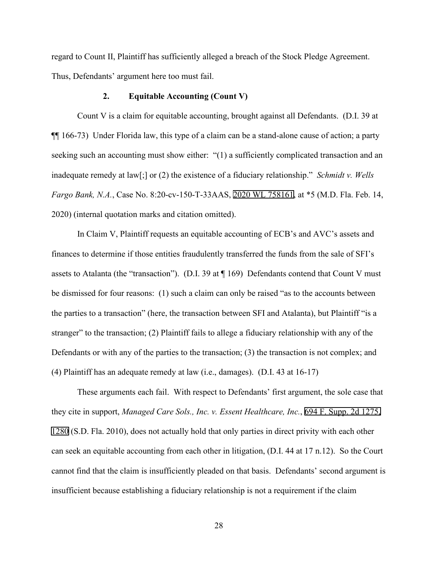regard to Count II, Plaintiff has sufficiently alleged a breach of the Stock Pledge Agreement. Thus, Defendants' argument here too must fail.

### **2. Equitable Accounting (Count V)**

Count V is a claim for equitable accounting, brought against all Defendants. (D.I. 39 at ¶¶ 166-73) Under Florida law, this type of a claim can be a stand-alone cause of action; a party seeking such an accounting must show either: "(1) a sufficiently complicated transaction and an inadequate remedy at law[;] or (2) the existence of a fiduciary relationship." *Schmidt v. Wells Fargo Bank, N.A.*, Case No. 8:20-cv-150-T-33AAS, [2020 WL 758161,](https://www.westlaw.com/Link/Document/FullText?rs=USCLink&vr=3.0&findType=Y&cite=2020%2Bwl%2B758161&refPos=758161&refPosType=s&clientid=USCourts) at \*5 (M.D. Fla. Feb. 14, 2020) (internal quotation marks and citation omitted).

In Claim V, Plaintiff requests an equitable accounting of ECB's and AVC's assets and finances to determine if those entities fraudulently transferred the funds from the sale of SFI's assets to Atalanta (the "transaction"). (D.I. 39 at ¶ 169) Defendants contend that Count V must be dismissed for four reasons: (1) such a claim can only be raised "as to the accounts between the parties to a transaction" (here, the transaction between SFI and Atalanta), but Plaintiff "is a stranger" to the transaction; (2) Plaintiff fails to allege a fiduciary relationship with any of the Defendants or with any of the parties to the transaction; (3) the transaction is not complex; and (4) Plaintiff has an adequate remedy at law (i.e., damages). (D.I. 43 at 16-17)

These arguments each fail. With respect to Defendants' first argument, the sole case that they cite in support, *Managed Care Sols., Inc. v. Essent Healthcare, Inc.*, [694 F. Supp. 2d 1275,](http://scholar.google.com/scholar?q=694+f.+supp.+2d+1275&btnG=&hl=en&as_sdt=6) [1280](http://scholar.google.com/scholar?q=694+f.+supp.+2d+1275&btnG=&hl=en&as_sdt=6) (S.D. Fla. 2010), does not actually hold that only parties in direct privity with each other can seek an equitable accounting from each other in litigation, (D.I. 44 at 17 n.12). So the Court cannot find that the claim is insufficiently pleaded on that basis. Defendants' second argument is insufficient because establishing a fiduciary relationship is not a requirement if the claim

28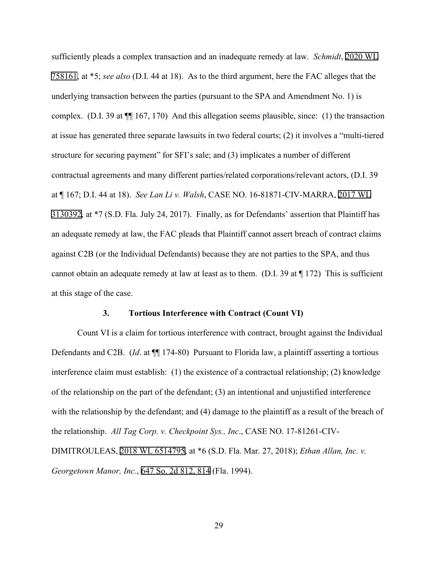sufficiently pleads a complex transaction and an inadequate remedy at law. *Schmidt*, [2020 WL](https://www.westlaw.com/Link/Document/FullText?rs=USCLink&vr=3.0&findType=Y&cite=2020%2Bwl758161&refPos=758161&refPosType=s&clientid=USCourts)  [758161](https://www.westlaw.com/Link/Document/FullText?rs=USCLink&vr=3.0&findType=Y&cite=2020%2Bwl758161&refPos=758161&refPosType=s&clientid=USCourts), at \*5; *see also* (D.I. 44 at 18). As to the third argument, here the FAC alleges that the underlying transaction between the parties (pursuant to the SPA and Amendment No. 1) is complex. (D.I. 39 at ¶¶ 167, 170) And this allegation seems plausible, since: (1) the transaction at issue has generated three separate lawsuits in two federal courts; (2) it involves a "multi-tiered structure for securing payment" for SFI's sale; and (3) implicates a number of different contractual agreements and many different parties/related corporations/relevant actors, (D.I. 39 at ¶ 167; D.I. 44 at 18). *See Lan Li v. Walsh*, CASE NO. 16-81871-CIV-MARRA, [2017 WL](https://www.westlaw.com/Link/Document/FullText?rs=USCLink&vr=3.0&findType=Y&cite=2017%2Bwl%2B%2B3130392&refPos=3130392&refPosType=s&clientid=USCourts)  [3130392](https://www.westlaw.com/Link/Document/FullText?rs=USCLink&vr=3.0&findType=Y&cite=2017%2Bwl%2B%2B3130392&refPos=3130392&refPosType=s&clientid=USCourts), at \*7 (S.D. Fla. July 24, 2017). Finally, as for Defendants' assertion that Plaintiff has an adequate remedy at law, the FAC pleads that Plaintiff cannot assert breach of contract claims against C2B (or the Individual Defendants) because they are not parties to the SPA, and thus cannot obtain an adequate remedy at law at least as to them. (D.I. 39 at ¶ 172) This is sufficient at this stage of the case.

## **3. Tortious Interference with Contract (Count VI)**

Count VI is a claim for tortious interference with contract, brought against the Individual Defendants and C2B. (*Id*. at ¶¶ 174-80) Pursuant to Florida law, a plaintiff asserting a tortious interference claim must establish: (1) the existence of a contractual relationship; (2) knowledge of the relationship on the part of the defendant; (3) an intentional and unjustified interference with the relationship by the defendant; and (4) damage to the plaintiff as a result of the breach of the relationship. *All Tag Corp. v. Checkpoint Sys., Inc*., CASE NO. 17-81261-CIV-DIMITROULEAS, [2018 WL 6514795,](https://www.westlaw.com/Link/Document/FullText?rs=USCLink&vr=3.0&findType=Y&cite=2018%2Bwl%2B6514795&refPos=6514795&refPosType=s&clientid=USCourts) at \*6 (S.D. Fla. Mar. 27, 2018); *Ethan Allan, Inc. v. Georgetown Manor, Inc.*, [647 So. 2d 812, 814](http://scholar.google.com/scholar?q=647+so.+2d+812&btnG=&hl=en&as_sdt=6) (Fla. 1994).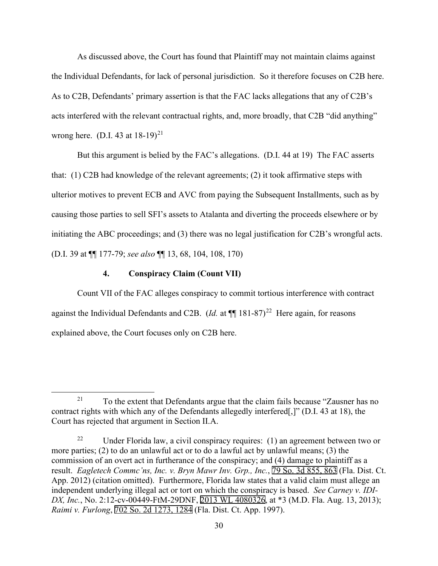As discussed above, the Court has found that Plaintiff may not maintain claims against the Individual Defendants, for lack of personal jurisdiction. So it therefore focuses on C2B here. As to C2B, Defendants' primary assertion is that the FAC lacks allegations that any of C2B's acts interfered with the relevant contractual rights, and, more broadly, that C2B "did anything" wrong here. (D.I. 43 at  $18-19$ )<sup>[21](#page-29-0)</sup>

But this argument is belied by the FAC's allegations. (D.I. 44 at 19) The FAC asserts that: (1) C2B had knowledge of the relevant agreements; (2) it took affirmative steps with ulterior motives to prevent ECB and AVC from paying the Subsequent Installments, such as by causing those parties to sell SFI's assets to Atalanta and diverting the proceeds elsewhere or by initiating the ABC proceedings; and (3) there was no legal justification for C2B's wrongful acts. (D.I. 39 at ¶¶ 177-79; *see also* ¶¶ 13, 68, 104, 108, 170)

## **4. Conspiracy Claim (Count VII)**

Count VII of the FAC alleges conspiracy to commit tortious interference with contract against the Individual Defendants and C2B. (*Id.* at  $\P$  181-87)<sup>[22](#page-29-1)</sup> Here again, for reasons explained above, the Court focuses only on C2B here.

<span id="page-29-0"></span><sup>&</sup>lt;sup>21</sup> To the extent that Defendants argue that the claim fails because "Zausner has no contract rights with which any of the Defendants allegedly interfered[,]" (D.I. 43 at 18), the Court has rejected that argument in Section II.A.

<span id="page-29-1"></span><sup>&</sup>lt;sup>22</sup> Under Florida law, a civil conspiracy requires: (1) an agreement between two or more parties; (2) to do an unlawful act or to do a lawful act by unlawful means; (3) the commission of an overt act in furtherance of the conspiracy; and (4) damage to plaintiff as a result. *Eagletech Commc'ns, Inc. v. Bryn Mawr Inv. Grp., Inc.*, [79 So. 3d 855, 863](http://scholar.google.com/scholar?q=79++so.++3d++855&btnG=&hl=en&as_sdt=6) (Fla. Dist. Ct. App. 2012) (citation omitted). Furthermore, Florida law states that a valid claim must allege an independent underlying illegal act or tort on which the conspiracy is based. *See Carney v. IDI-DX, Inc.*, No. 2:12-cv-00449-FtM-29DNF, [2013 WL 4080326,](https://www.westlaw.com/Link/Document/FullText?rs=USCLink&vr=3.0&findType=Y&cite=2013%2B%2Bwl%2B%2B4080326&refPos=4080326&refPosType=s&clientid=USCourts) at \*3 (M.D. Fla. Aug. 13, 2013); *Raimi v. Furlong*, [702 So. 2d 1273, 1284](http://scholar.google.com/scholar?q=702++so.++2d++1273&btnG=&hl=en&as_sdt=6) (Fla. Dist. Ct. App. 1997).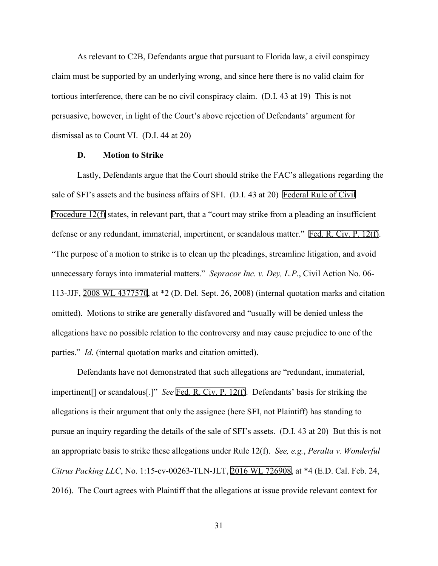As relevant to C2B, Defendants argue that pursuant to Florida law, a civil conspiracy claim must be supported by an underlying wrong, and since here there is no valid claim for tortious interference, there can be no civil conspiracy claim. (D.I. 43 at 19) This is not persuasive, however, in light of the Court's above rejection of Defendants' argument for dismissal as to Count VI. (D.I. 44 at 20)

### **D. Motion to Strike**

Lastly, Defendants argue that the Court should strike the FAC's allegations regarding the sale of SFI's assets and the business affairs of SFI. (D.I. 43 at 20) [Federal Rule of Civil](http://www.google.com/search?q=FRCP+12(f)) [Procedure 12\(f\)](http://www.google.com/search?q=FRCP+12(f)) states, in relevant part, that a "court may strike from a pleading an insufficient defense or any redundant, immaterial, impertinent, or scandalous matter." [Fed. R. Civ. P. 12\(f\).](http://www.google.com/search?q=FRCP+12(f)) "The purpose of a motion to strike is to clean up the pleadings, streamline litigation, and avoid unnecessary forays into immaterial matters." *Sepracor Inc. v. Dey, L.P*., Civil Action No. 06- 113-JJF, [2008 WL 4377570,](https://www.westlaw.com/Link/Document/FullText?rs=USCLink&vr=3.0&findType=Y&cite=2008%2Bwl%2B4377570&refPos=4377570&refPosType=s&clientid=USCourts) at \*2 (D. Del. Sept. 26, 2008) (internal quotation marks and citation omitted). Motions to strike are generally disfavored and "usually will be denied unless the allegations have no possible relation to the controversy and may cause prejudice to one of the parties." *Id*. (internal quotation marks and citation omitted).

Defendants have not demonstrated that such allegations are "redundant, immaterial, impertinent[] or scandalous[.]" *See* Fed. R. Civ. P. [12\(f\).](http://www.google.com/search?q=FRCP+12(f)) Defendants' basis for striking the allegations is their argument that only the assignee (here SFI, not Plaintiff) has standing to pursue an inquiry regarding the details of the sale of SFI's assets. (D.I. 43 at 20) But this is not an appropriate basis to strike these allegations under Rule 12(f). *See, e.g.*, *Peralta v. Wonderful Citrus Packing LLC*, No. 1:15-cv-00263-TLN-JLT, [2016 WL 726908](https://www.westlaw.com/Link/Document/FullText?rs=USCLink&vr=3.0&findType=Y&cite=2016%2Bwl%2B726908&refPos=726908&refPosType=s&clientid=USCourts), at \*4 (E.D. Cal. Feb. 24, 2016). The Court agrees with Plaintiff that the allegations at issue provide relevant context for

31